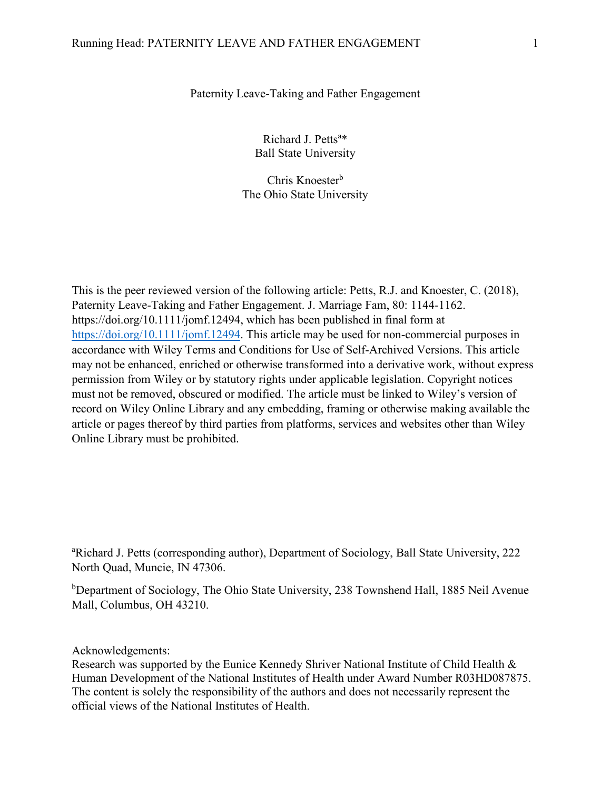#### Paternity Leave-Taking and Father Engagement

Richard J. Petts<sup>a\*</sup> Ball State University

Chris Knoester<sup>b</sup> The Ohio State University

This is the peer reviewed version of the following article: Petts, R.J. and Knoester, C. (2018), Paternity Leave-Taking and Father Engagement. J. Marriage Fam, 80: 1144-1162. https://doi.org/10.1111/jomf.12494, which has been published in final form at [https://doi.org/10.1111/jomf.12494.](https://doi.org/10.1111/jomf.12494) This article may be used for non-commercial purposes in accordance with Wiley Terms and Conditions for Use of Self-Archived Versions. This article may not be enhanced, enriched or otherwise transformed into a derivative work, without express permission from Wiley or by statutory rights under applicable legislation. Copyright notices must not be removed, obscured or modified. The article must be linked to Wiley's version of record on Wiley Online Library and any embedding, framing or otherwise making available the article or pages thereof by third parties from platforms, services and websites other than Wiley Online Library must be prohibited.

a Richard J. Petts (corresponding author), Department of Sociology, Ball State University, 222 North Quad, Muncie, IN 47306.

<sup>b</sup>Department of Sociology, The Ohio State University, 238 Townshend Hall, 1885 Neil Avenue Mall, Columbus, OH 43210.

Acknowledgements:

Research was supported by the Eunice Kennedy Shriver National Institute of Child Health & Human Development of the National Institutes of Health under Award Number R03HD087875. The content is solely the responsibility of the authors and does not necessarily represent the official views of the National Institutes of Health.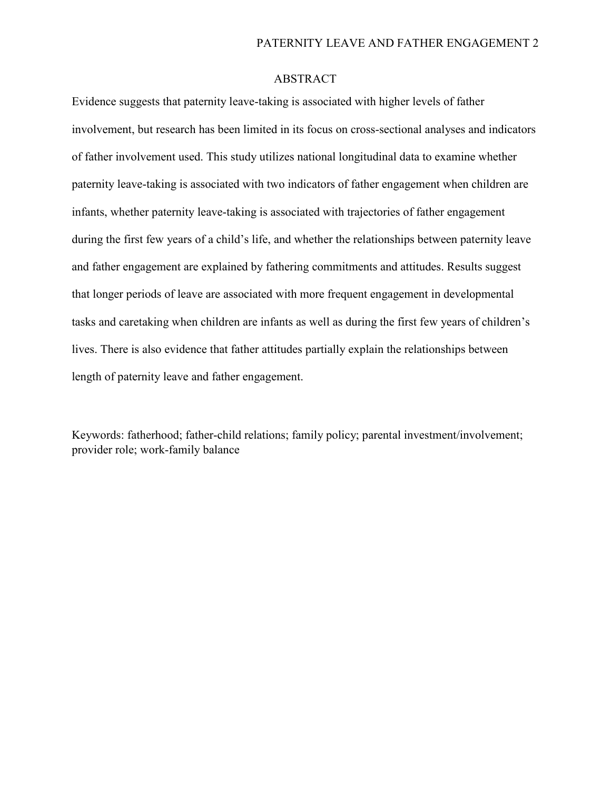# ABSTRACT

Evidence suggests that paternity leave-taking is associated with higher levels of father involvement, but research has been limited in its focus on cross-sectional analyses and indicators of father involvement used. This study utilizes national longitudinal data to examine whether paternity leave-taking is associated with two indicators of father engagement when children are infants, whether paternity leave-taking is associated with trajectories of father engagement during the first few years of a child's life, and whether the relationships between paternity leave and father engagement are explained by fathering commitments and attitudes. Results suggest that longer periods of leave are associated with more frequent engagement in developmental tasks and caretaking when children are infants as well as during the first few years of children's lives. There is also evidence that father attitudes partially explain the relationships between length of paternity leave and father engagement.

Keywords: fatherhood; father-child relations; family policy; parental investment/involvement; provider role; work-family balance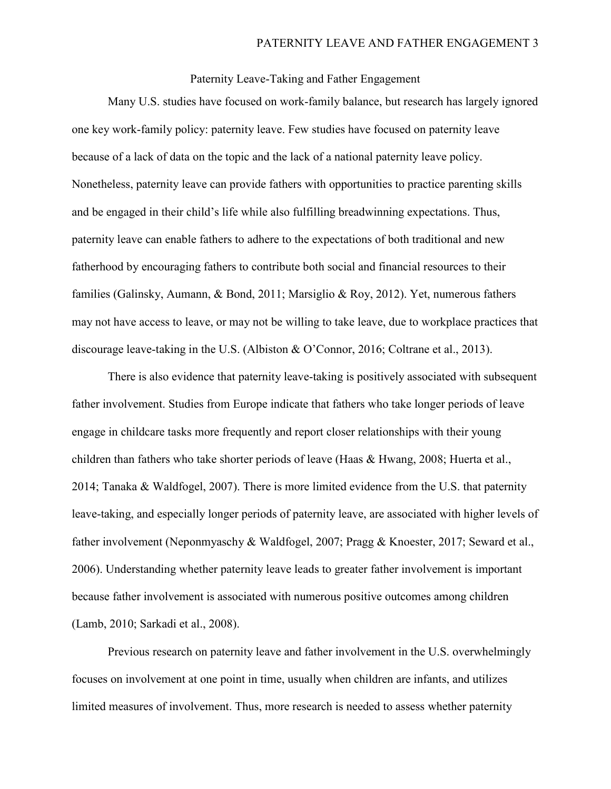Paternity Leave-Taking and Father Engagement

Many U.S. studies have focused on work-family balance, but research has largely ignored one key work-family policy: paternity leave. Few studies have focused on paternity leave because of a lack of data on the topic and the lack of a national paternity leave policy. Nonetheless, paternity leave can provide fathers with opportunities to practice parenting skills and be engaged in their child's life while also fulfilling breadwinning expectations. Thus, paternity leave can enable fathers to adhere to the expectations of both traditional and new fatherhood by encouraging fathers to contribute both social and financial resources to their families (Galinsky, Aumann, & Bond, 2011; Marsiglio & Roy, 2012). Yet, numerous fathers may not have access to leave, or may not be willing to take leave, due to workplace practices that discourage leave-taking in the U.S. (Albiston & O'Connor, 2016; Coltrane et al., 2013).

There is also evidence that paternity leave-taking is positively associated with subsequent father involvement. Studies from Europe indicate that fathers who take longer periods of leave engage in childcare tasks more frequently and report closer relationships with their young children than fathers who take shorter periods of leave (Haas & Hwang, 2008; Huerta et al., 2014; Tanaka & Waldfogel, 2007). There is more limited evidence from the U.S. that paternity leave-taking, and especially longer periods of paternity leave, are associated with higher levels of father involvement (Neponmyaschy & Waldfogel, 2007; Pragg & Knoester, 2017; Seward et al., 2006). Understanding whether paternity leave leads to greater father involvement is important because father involvement is associated with numerous positive outcomes among children (Lamb, 2010; Sarkadi et al., 2008).

Previous research on paternity leave and father involvement in the U.S. overwhelmingly focuses on involvement at one point in time, usually when children are infants, and utilizes limited measures of involvement. Thus, more research is needed to assess whether paternity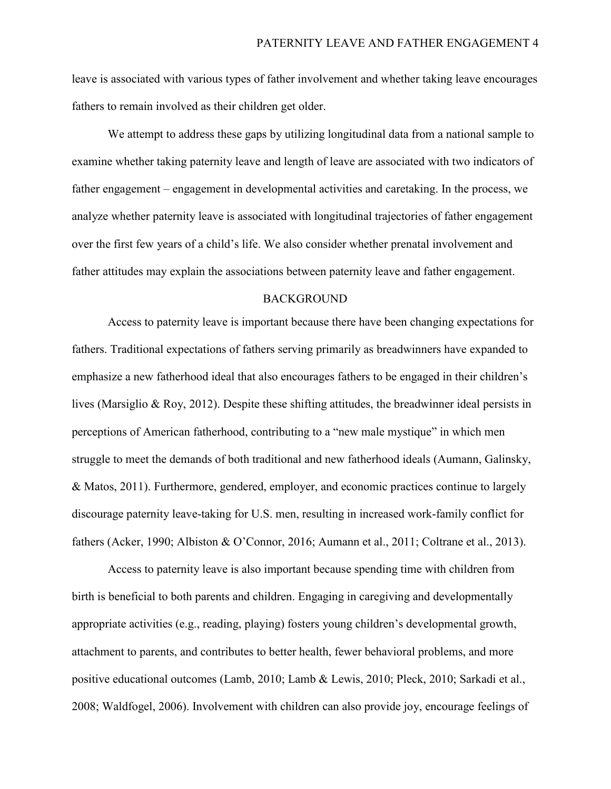leave is associated with various types of father involvement and whether taking leave encourages fathers to remain involved as their children get older.

We attempt to address these gaps by utilizing longitudinal data from a national sample to examine whether taking paternity leave and length of leave are associated with two indicators of father engagement – engagement in developmental activities and caretaking. In the process, we analyze whether paternity leave is associated with longitudinal trajectories of father engagement over the first few years of a child's life. We also consider whether prenatal involvement and father attitudes may explain the associations between paternity leave and father engagement.

#### **BACKGROUND**

Access to paternity leave is important because there have been changing expectations for fathers. Traditional expectations of fathers serving primarily as breadwinners have expanded to emphasize a new fatherhood ideal that also encourages fathers to be engaged in their children's lives (Marsiglio & Roy, 2012). Despite these shifting attitudes, the breadwinner ideal persists in perceptions of American fatherhood, contributing to a "new male mystique" in which men struggle to meet the demands of both traditional and new fatherhood ideals (Aumann, Galinsky, & Matos, 2011). Furthermore, gendered, employer, and economic practices continue to largely discourage paternity leave-taking for U.S. men, resulting in increased work-family conflict for fathers (Acker, 1990; Albiston & O'Connor, 2016; Aumann et al., 2011; Coltrane et al., 2013).

Access to paternity leave is also important because spending time with children from birth is beneficial to both parents and children. Engaging in caregiving and developmentally appropriate activities (e.g., reading, playing) fosters young children's developmental growth, attachment to parents, and contributes to better health, fewer behavioral problems, and more positive educational outcomes (Lamb, 2010; Lamb & Lewis, 2010; Pleck, 2010; Sarkadi et al., 2008; Waldfogel, 2006). Involvement with children can also provide joy, encourage feelings of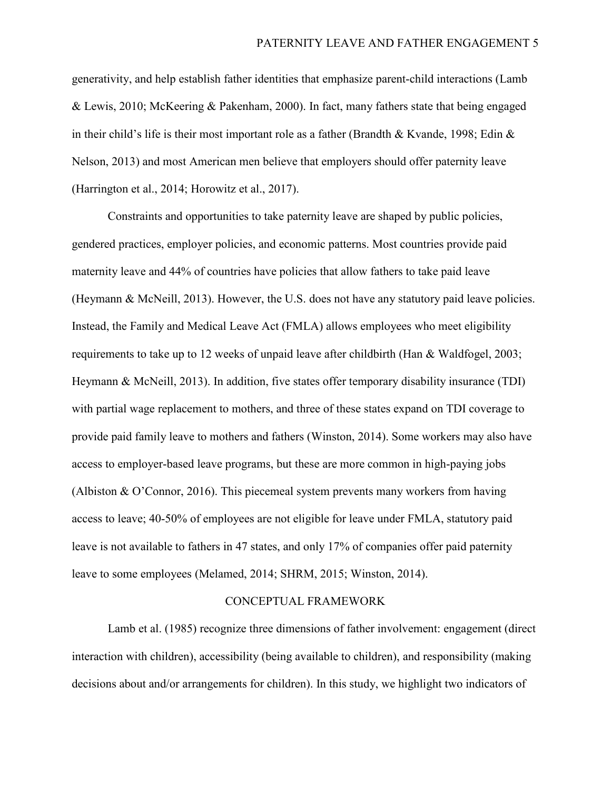generativity, and help establish father identities that emphasize parent-child interactions (Lamb & Lewis, 2010; McKeering & Pakenham, 2000). In fact, many fathers state that being engaged in their child's life is their most important role as a father (Brandth & Kvande, 1998; Edin & Nelson, 2013) and most American men believe that employers should offer paternity leave (Harrington et al., 2014; Horowitz et al., 2017).

Constraints and opportunities to take paternity leave are shaped by public policies, gendered practices, employer policies, and economic patterns. Most countries provide paid maternity leave and 44% of countries have policies that allow fathers to take paid leave (Heymann & McNeill, 2013). However, the U.S. does not have any statutory paid leave policies. Instead, the Family and Medical Leave Act (FMLA) allows employees who meet eligibility requirements to take up to 12 weeks of unpaid leave after childbirth (Han & Waldfogel, 2003; Heymann & McNeill, 2013). In addition, five states offer temporary disability insurance (TDI) with partial wage replacement to mothers, and three of these states expand on TDI coverage to provide paid family leave to mothers and fathers (Winston, 2014). Some workers may also have access to employer-based leave programs, but these are more common in high-paying jobs (Albiston & O'Connor, 2016). This piecemeal system prevents many workers from having access to leave; 40-50% of employees are not eligible for leave under FMLA, statutory paid leave is not available to fathers in 47 states, and only 17% of companies offer paid paternity leave to some employees (Melamed, 2014; SHRM, 2015; Winston, 2014).

#### CONCEPTUAL FRAMEWORK

Lamb et al. (1985) recognize three dimensions of father involvement: engagement (direct interaction with children), accessibility (being available to children), and responsibility (making decisions about and/or arrangements for children). In this study, we highlight two indicators of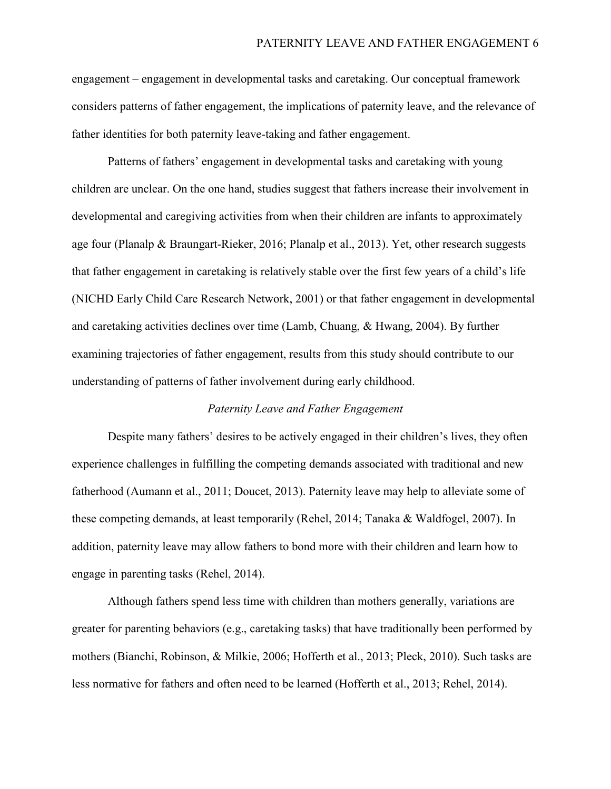engagement – engagement in developmental tasks and caretaking. Our conceptual framework considers patterns of father engagement, the implications of paternity leave, and the relevance of father identities for both paternity leave-taking and father engagement.

Patterns of fathers' engagement in developmental tasks and caretaking with young children are unclear. On the one hand, studies suggest that fathers increase their involvement in developmental and caregiving activities from when their children are infants to approximately age four (Planalp & Braungart-Rieker, 2016; Planalp et al., 2013). Yet, other research suggests that father engagement in caretaking is relatively stable over the first few years of a child's life (NICHD Early Child Care Research Network, 2001) or that father engagement in developmental and caretaking activities declines over time (Lamb, Chuang, & Hwang, 2004). By further examining trajectories of father engagement, results from this study should contribute to our understanding of patterns of father involvement during early childhood.

## *Paternity Leave and Father Engagement*

Despite many fathers' desires to be actively engaged in their children's lives, they often experience challenges in fulfilling the competing demands associated with traditional and new fatherhood (Aumann et al., 2011; Doucet, 2013). Paternity leave may help to alleviate some of these competing demands, at least temporarily (Rehel, 2014; Tanaka & Waldfogel, 2007). In addition, paternity leave may allow fathers to bond more with their children and learn how to engage in parenting tasks (Rehel, 2014).

Although fathers spend less time with children than mothers generally, variations are greater for parenting behaviors (e.g., caretaking tasks) that have traditionally been performed by mothers (Bianchi, Robinson, & Milkie, 2006; Hofferth et al., 2013; Pleck, 2010). Such tasks are less normative for fathers and often need to be learned (Hofferth et al., 2013; Rehel, 2014).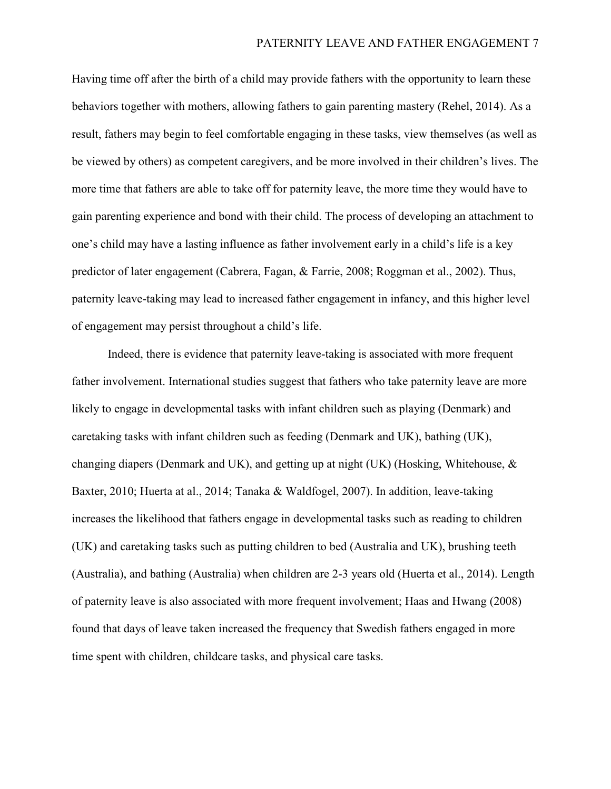Having time off after the birth of a child may provide fathers with the opportunity to learn these behaviors together with mothers, allowing fathers to gain parenting mastery (Rehel, 2014). As a result, fathers may begin to feel comfortable engaging in these tasks, view themselves (as well as be viewed by others) as competent caregivers, and be more involved in their children's lives. The more time that fathers are able to take off for paternity leave, the more time they would have to gain parenting experience and bond with their child. The process of developing an attachment to one's child may have a lasting influence as father involvement early in a child's life is a key predictor of later engagement (Cabrera, Fagan, & Farrie, 2008; Roggman et al., 2002). Thus, paternity leave-taking may lead to increased father engagement in infancy, and this higher level of engagement may persist throughout a child's life.

Indeed, there is evidence that paternity leave-taking is associated with more frequent father involvement. International studies suggest that fathers who take paternity leave are more likely to engage in developmental tasks with infant children such as playing (Denmark) and caretaking tasks with infant children such as feeding (Denmark and UK), bathing (UK), changing diapers (Denmark and UK), and getting up at night (UK) (Hosking, Whitehouse, & Baxter, 2010; Huerta at al., 2014; Tanaka & Waldfogel, 2007). In addition, leave-taking increases the likelihood that fathers engage in developmental tasks such as reading to children (UK) and caretaking tasks such as putting children to bed (Australia and UK), brushing teeth (Australia), and bathing (Australia) when children are 2-3 years old (Huerta et al., 2014). Length of paternity leave is also associated with more frequent involvement; Haas and Hwang (2008) found that days of leave taken increased the frequency that Swedish fathers engaged in more time spent with children, childcare tasks, and physical care tasks.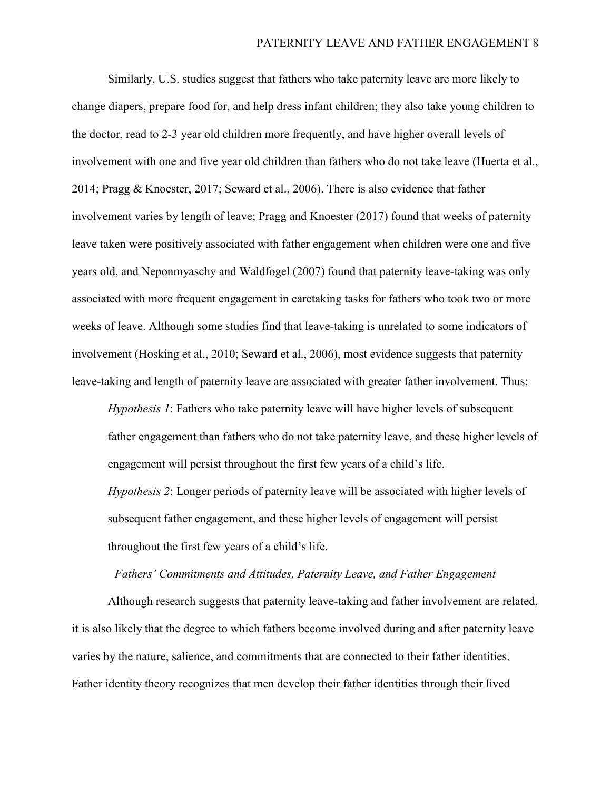Similarly, U.S. studies suggest that fathers who take paternity leave are more likely to change diapers, prepare food for, and help dress infant children; they also take young children to the doctor, read to 2-3 year old children more frequently, and have higher overall levels of involvement with one and five year old children than fathers who do not take leave (Huerta et al., 2014; Pragg & Knoester, 2017; Seward et al., 2006). There is also evidence that father involvement varies by length of leave; Pragg and Knoester (2017) found that weeks of paternity leave taken were positively associated with father engagement when children were one and five years old, and Neponmyaschy and Waldfogel (2007) found that paternity leave-taking was only associated with more frequent engagement in caretaking tasks for fathers who took two or more weeks of leave. Although some studies find that leave-taking is unrelated to some indicators of involvement (Hosking et al., 2010; Seward et al., 2006), most evidence suggests that paternity leave-taking and length of paternity leave are associated with greater father involvement. Thus:

*Hypothesis 1*: Fathers who take paternity leave will have higher levels of subsequent father engagement than fathers who do not take paternity leave, and these higher levels of engagement will persist throughout the first few years of a child's life.

*Hypothesis 2*: Longer periods of paternity leave will be associated with higher levels of subsequent father engagement, and these higher levels of engagement will persist throughout the first few years of a child's life.

#### *Fathers' Commitments and Attitudes, Paternity Leave, and Father Engagement*

Although research suggests that paternity leave-taking and father involvement are related, it is also likely that the degree to which fathers become involved during and after paternity leave varies by the nature, salience, and commitments that are connected to their father identities. Father identity theory recognizes that men develop their father identities through their lived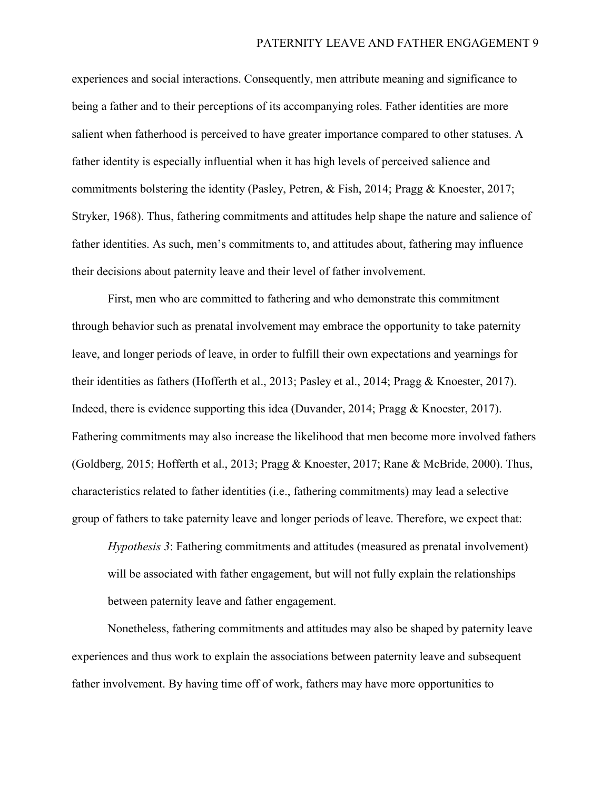experiences and social interactions. Consequently, men attribute meaning and significance to being a father and to their perceptions of its accompanying roles. Father identities are more salient when fatherhood is perceived to have greater importance compared to other statuses. A father identity is especially influential when it has high levels of perceived salience and commitments bolstering the identity (Pasley, Petren, & Fish, 2014; Pragg & Knoester, 2017; Stryker, 1968). Thus, fathering commitments and attitudes help shape the nature and salience of father identities. As such, men's commitments to, and attitudes about, fathering may influence their decisions about paternity leave and their level of father involvement.

First, men who are committed to fathering and who demonstrate this commitment through behavior such as prenatal involvement may embrace the opportunity to take paternity leave, and longer periods of leave, in order to fulfill their own expectations and yearnings for their identities as fathers (Hofferth et al., 2013; Pasley et al., 2014; Pragg & Knoester, 2017). Indeed, there is evidence supporting this idea (Duvander, 2014; Pragg & Knoester, 2017). Fathering commitments may also increase the likelihood that men become more involved fathers (Goldberg, 2015; Hofferth et al., 2013; Pragg & Knoester, 2017; Rane & McBride, 2000). Thus, characteristics related to father identities (i.e., fathering commitments) may lead a selective group of fathers to take paternity leave and longer periods of leave. Therefore, we expect that:

*Hypothesis 3*: Fathering commitments and attitudes (measured as prenatal involvement) will be associated with father engagement, but will not fully explain the relationships between paternity leave and father engagement.

Nonetheless, fathering commitments and attitudes may also be shaped by paternity leave experiences and thus work to explain the associations between paternity leave and subsequent father involvement. By having time off of work, fathers may have more opportunities to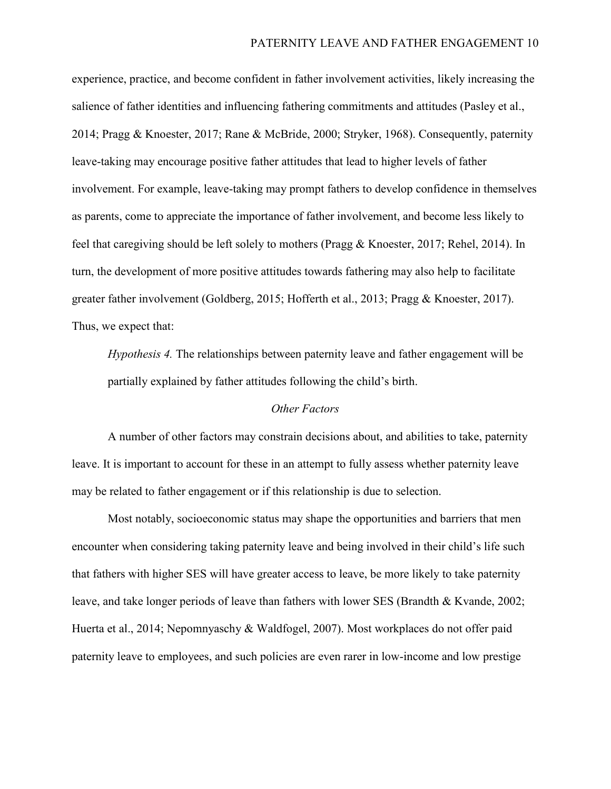experience, practice, and become confident in father involvement activities, likely increasing the salience of father identities and influencing fathering commitments and attitudes (Pasley et al., 2014; Pragg & Knoester, 2017; Rane & McBride, 2000; Stryker, 1968). Consequently, paternity leave-taking may encourage positive father attitudes that lead to higher levels of father involvement. For example, leave-taking may prompt fathers to develop confidence in themselves as parents, come to appreciate the importance of father involvement, and become less likely to feel that caregiving should be left solely to mothers (Pragg & Knoester, 2017; Rehel, 2014). In turn, the development of more positive attitudes towards fathering may also help to facilitate greater father involvement (Goldberg, 2015; Hofferth et al., 2013; Pragg & Knoester, 2017). Thus, we expect that:

*Hypothesis 4.* The relationships between paternity leave and father engagement will be partially explained by father attitudes following the child's birth.

## *Other Factors*

A number of other factors may constrain decisions about, and abilities to take, paternity leave. It is important to account for these in an attempt to fully assess whether paternity leave may be related to father engagement or if this relationship is due to selection.

Most notably, socioeconomic status may shape the opportunities and barriers that men encounter when considering taking paternity leave and being involved in their child's life such that fathers with higher SES will have greater access to leave, be more likely to take paternity leave, and take longer periods of leave than fathers with lower SES (Brandth & Kvande, 2002; Huerta et al., 2014; Nepomnyaschy & Waldfogel, 2007). Most workplaces do not offer paid paternity leave to employees, and such policies are even rarer in low-income and low prestige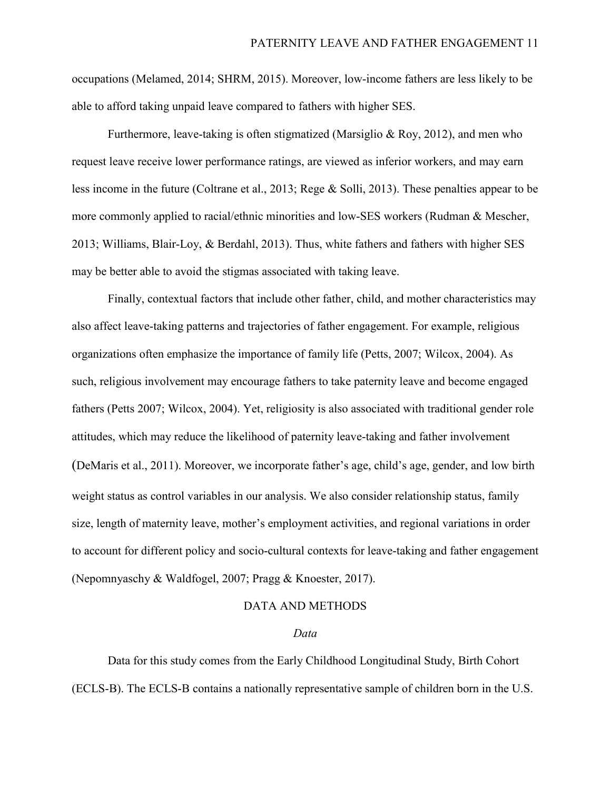occupations (Melamed, 2014; SHRM, 2015). Moreover, low-income fathers are less likely to be able to afford taking unpaid leave compared to fathers with higher SES.

Furthermore, leave-taking is often stigmatized (Marsiglio & Roy, 2012), and men who request leave receive lower performance ratings, are viewed as inferior workers, and may earn less income in the future (Coltrane et al., 2013; Rege & Solli, 2013). These penalties appear to be more commonly applied to racial/ethnic minorities and low-SES workers (Rudman & Mescher, 2013; Williams, Blair-Loy, & Berdahl, 2013). Thus, white fathers and fathers with higher SES may be better able to avoid the stigmas associated with taking leave.

Finally, contextual factors that include other father, child, and mother characteristics may also affect leave-taking patterns and trajectories of father engagement. For example, religious organizations often emphasize the importance of family life (Petts, 2007; Wilcox, 2004). As such, religious involvement may encourage fathers to take paternity leave and become engaged fathers (Petts 2007; Wilcox, 2004). Yet, religiosity is also associated with traditional gender role attitudes, which may reduce the likelihood of paternity leave-taking and father involvement (DeMaris et al., 2011). Moreover, we incorporate father's age, child's age, gender, and low birth weight status as control variables in our analysis. We also consider relationship status, family size, length of maternity leave, mother's employment activities, and regional variations in order to account for different policy and socio-cultural contexts for leave-taking and father engagement (Nepomnyaschy & Waldfogel, 2007; Pragg & Knoester, 2017).

## DATA AND METHODS

#### *Data*

Data for this study comes from the Early Childhood Longitudinal Study, Birth Cohort (ECLS-B). The ECLS-B contains a nationally representative sample of children born in the U.S.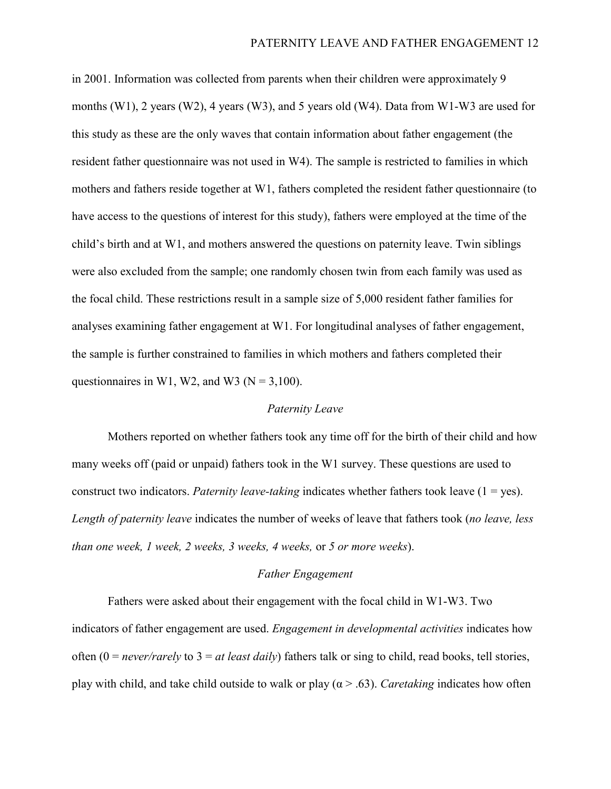in 2001. Information was collected from parents when their children were approximately 9 months (W1), 2 years (W2), 4 years (W3), and 5 years old (W4). Data from W1-W3 are used for this study as these are the only waves that contain information about father engagement (the resident father questionnaire was not used in W4). The sample is restricted to families in which mothers and fathers reside together at W1, fathers completed the resident father questionnaire (to have access to the questions of interest for this study), fathers were employed at the time of the child's birth and at W1, and mothers answered the questions on paternity leave. Twin siblings were also excluded from the sample; one randomly chosen twin from each family was used as the focal child. These restrictions result in a sample size of 5,000 resident father families for analyses examining father engagement at W1. For longitudinal analyses of father engagement, the sample is further constrained to families in which mothers and fathers completed their questionnaires in W1, W2, and W3 ( $N = 3,100$ ).

## *Paternity Leave*

Mothers reported on whether fathers took any time off for the birth of their child and how many weeks off (paid or unpaid) fathers took in the W1 survey. These questions are used to construct two indicators. *Paternity leave-taking* indicates whether fathers took leave  $(1 = yes)$ . *Length of paternity leave* indicates the number of weeks of leave that fathers took (*no leave, less than one week, 1 week, 2 weeks, 3 weeks, 4 weeks,* or *5 or more weeks*).

# *Father Engagement*

Fathers were asked about their engagement with the focal child in W1-W3. Two indicators of father engagement are used. *Engagement in developmental activities* indicates how often (0 = *never/rarely* to 3 = *at least daily*) fathers talk or sing to child, read books, tell stories, play with child, and take child outside to walk or play (α > .63). *Caretaking* indicates how often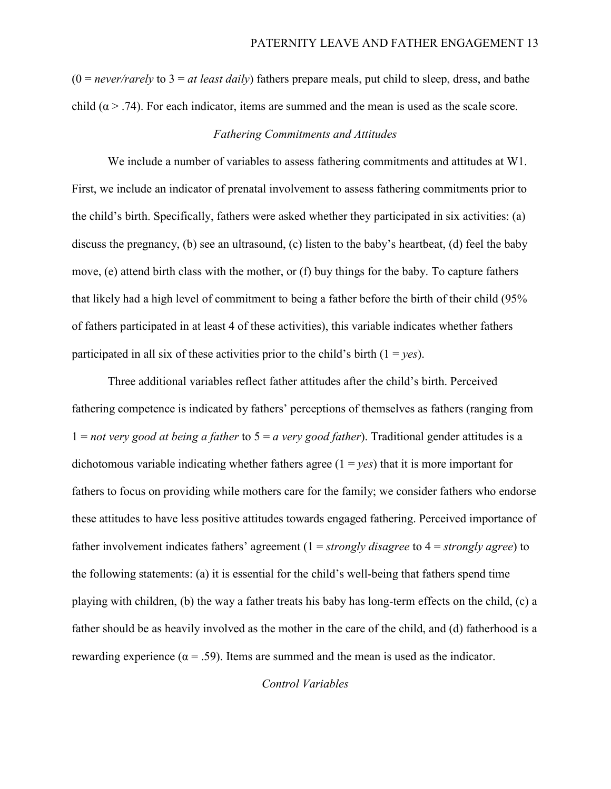$(0 = never / rarely)$  to  $3 = at least daily)$  fathers prepare meals, put child to sleep, dress, and bathe child ( $\alpha$  > .74). For each indicator, items are summed and the mean is used as the scale score.

# *Fathering Commitments and Attitudes*

We include a number of variables to assess fathering commitments and attitudes at W1. First, we include an indicator of prenatal involvement to assess fathering commitments prior to the child's birth. Specifically, fathers were asked whether they participated in six activities: (a) discuss the pregnancy, (b) see an ultrasound, (c) listen to the baby's heartbeat, (d) feel the baby move, (e) attend birth class with the mother, or (f) buy things for the baby. To capture fathers that likely had a high level of commitment to being a father before the birth of their child (95% of fathers participated in at least 4 of these activities), this variable indicates whether fathers participated in all six of these activities prior to the child's birth  $(1 = yes)$ .

Three additional variables reflect father attitudes after the child's birth. Perceived fathering competence is indicated by fathers' perceptions of themselves as fathers (ranging from 1 = *not very good at being a father* to 5 = *a very good father*). Traditional gender attitudes is a dichotomous variable indicating whether fathers agree  $(1 = yes)$  that it is more important for fathers to focus on providing while mothers care for the family; we consider fathers who endorse these attitudes to have less positive attitudes towards engaged fathering. Perceived importance of father involvement indicates fathers' agreement (1 = *strongly disagree* to 4 = *strongly agree*) to the following statements: (a) it is essential for the child's well-being that fathers spend time playing with children, (b) the way a father treats his baby has long-term effects on the child, (c) a father should be as heavily involved as the mother in the care of the child, and (d) fatherhood is a rewarding experience ( $\alpha = .59$ ). Items are summed and the mean is used as the indicator.

# *Control Variables*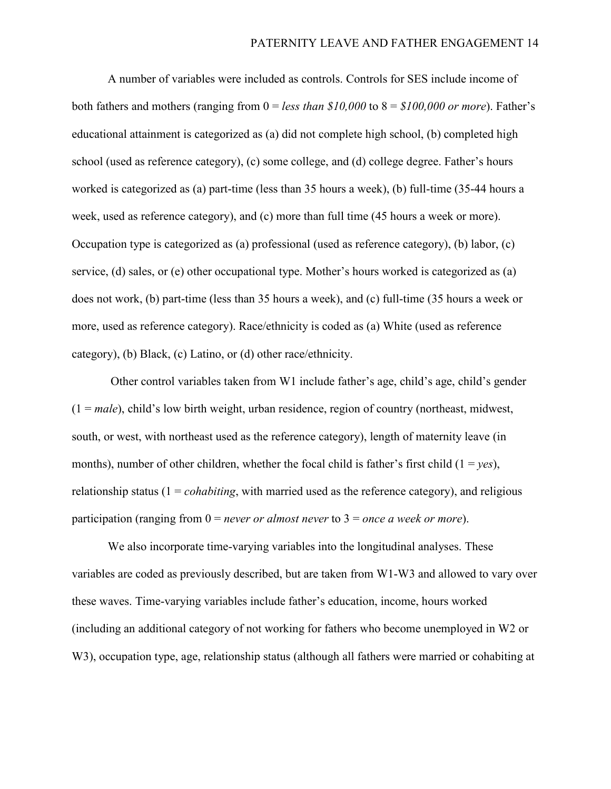A number of variables were included as controls. Controls for SES include income of both fathers and mothers (ranging from 0 = *less than \$10,000* to 8 = *\$100,000 or more*). Father's educational attainment is categorized as (a) did not complete high school, (b) completed high school (used as reference category), (c) some college, and (d) college degree. Father's hours worked is categorized as (a) part-time (less than 35 hours a week), (b) full-time (35-44 hours a week, used as reference category), and (c) more than full time (45 hours a week or more). Occupation type is categorized as (a) professional (used as reference category), (b) labor, (c) service, (d) sales, or (e) other occupational type. Mother's hours worked is categorized as (a) does not work, (b) part-time (less than 35 hours a week), and (c) full-time (35 hours a week or more, used as reference category). Race/ethnicity is coded as (a) White (used as reference category), (b) Black, (c) Latino, or (d) other race/ethnicity.

Other control variables taken from W1 include father's age, child's age, child's gender (1 = *male*), child's low birth weight, urban residence, region of country (northeast, midwest, south, or west, with northeast used as the reference category), length of maternity leave (in months), number of other children, whether the focal child is father's first child  $(1 = yes)$ , relationship status  $(1 = cohabiting, with married used as the reference category)$ , and religious participation (ranging from 0 = *never or almost never* to 3 = *once a week or more*).

We also incorporate time-varying variables into the longitudinal analyses. These variables are coded as previously described, but are taken from W1-W3 and allowed to vary over these waves. Time-varying variables include father's education, income, hours worked (including an additional category of not working for fathers who become unemployed in W2 or W3), occupation type, age, relationship status (although all fathers were married or cohabiting at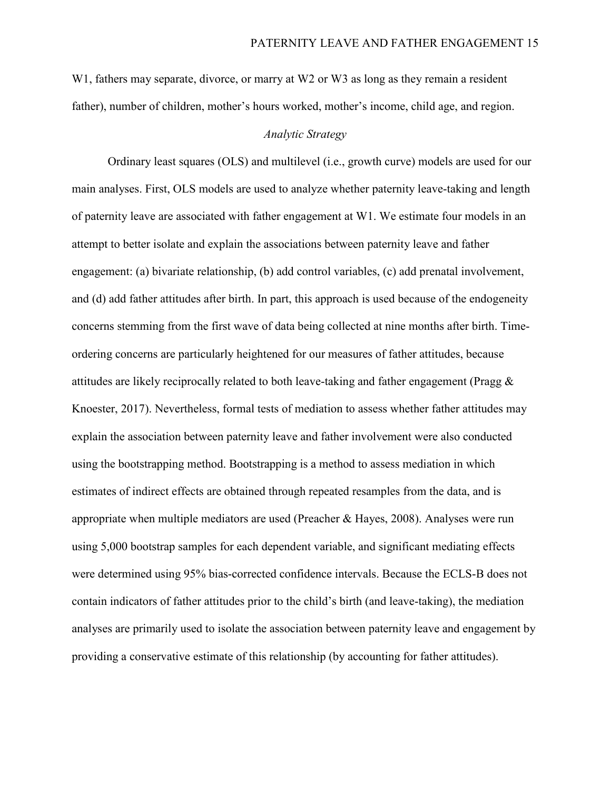W<sub>1</sub>, fathers may separate, divorce, or marry at W<sub>2</sub> or W<sub>3</sub> as long as they remain a resident father), number of children, mother's hours worked, mother's income, child age, and region.

# *Analytic Strategy*

Ordinary least squares (OLS) and multilevel (i.e., growth curve) models are used for our main analyses. First, OLS models are used to analyze whether paternity leave-taking and length of paternity leave are associated with father engagement at W1. We estimate four models in an attempt to better isolate and explain the associations between paternity leave and father engagement: (a) bivariate relationship, (b) add control variables, (c) add prenatal involvement, and (d) add father attitudes after birth. In part, this approach is used because of the endogeneity concerns stemming from the first wave of data being collected at nine months after birth. Timeordering concerns are particularly heightened for our measures of father attitudes, because attitudes are likely reciprocally related to both leave-taking and father engagement (Pragg  $\&$ Knoester, 2017). Nevertheless, formal tests of mediation to assess whether father attitudes may explain the association between paternity leave and father involvement were also conducted using the bootstrapping method. Bootstrapping is a method to assess mediation in which estimates of indirect effects are obtained through repeated resamples from the data, and is appropriate when multiple mediators are used (Preacher & Hayes, 2008). Analyses were run using 5,000 bootstrap samples for each dependent variable, and significant mediating effects were determined using 95% bias-corrected confidence intervals. Because the ECLS-B does not contain indicators of father attitudes prior to the child's birth (and leave-taking), the mediation analyses are primarily used to isolate the association between paternity leave and engagement by providing a conservative estimate of this relationship (by accounting for father attitudes).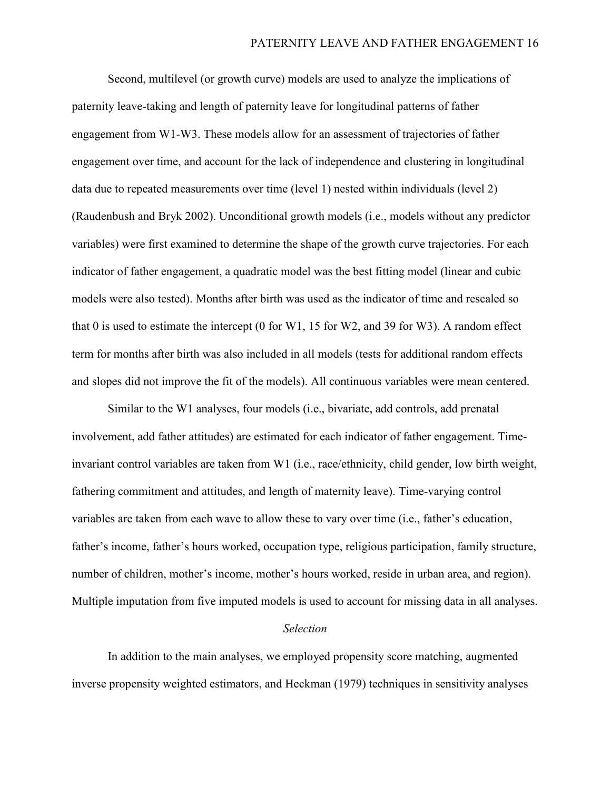Second, multilevel (or growth curve) models are used to analyze the implications of paternity leave-taking and length of paternity leave for longitudinal patterns of father engagement from W1-W3. These models allow for an assessment of trajectories of father engagement over time, and account for the lack of independence and clustering in longitudinal data due to repeated measurements over time (level 1) nested within individuals (level 2) (Raudenbush and Bryk 2002). Unconditional growth models (i.e., models without any predictor variables) were first examined to determine the shape of the growth curve trajectories. For each indicator of father engagement, a quadratic model was the best fitting model (linear and cubic models were also tested). Months after birth was used as the indicator of time and rescaled so that 0 is used to estimate the intercept (0 for W1, 15 for W2, and 39 for W3). A random effect term for months after birth was also included in all models (tests for additional random effects and slopes did not improve the fit of the models). All continuous variables were mean centered.

Similar to the W1 analyses, four models (i.e., bivariate, add controls, add prenatal involvement, add father attitudes) are estimated for each indicator of father engagement. Timeinvariant control variables are taken from W1 (i.e., race/ethnicity, child gender, low birth weight, fathering commitment and attitudes, and length of maternity leave). Time-varying control variables are taken from each wave to allow these to vary over time (i.e., father's education, father's income, father's hours worked, occupation type, religious participation, family structure, number of children, mother's income, mother's hours worked, reside in urban area, and region). Multiple imputation from five imputed models is used to account for missing data in all analyses.

#### *Selection*

In addition to the main analyses, we employed propensity score matching, augmented inverse propensity weighted estimators, and Heckman (1979) techniques in sensitivity analyses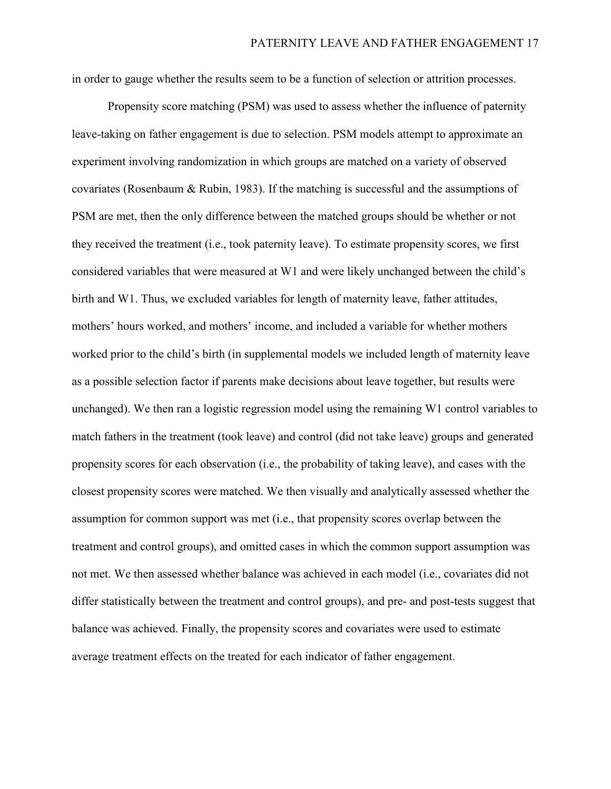in order to gauge whether the results seem to be a function of selection or attrition processes.

Propensity score matching (PSM) was used to assess whether the influence of paternity leave-taking on father engagement is due to selection. PSM models attempt to approximate an experiment involving randomization in which groups are matched on a variety of observed covariates (Rosenbaum & Rubin, 1983). If the matching is successful and the assumptions of PSM are met, then the only difference between the matched groups should be whether or not they received the treatment (i.e., took paternity leave). To estimate propensity scores, we first considered variables that were measured at W1 and were likely unchanged between the child's birth and W1. Thus, we excluded variables for length of maternity leave, father attitudes, mothers' hours worked, and mothers' income, and included a variable for whether mothers worked prior to the child's birth (in supplemental models we included length of maternity leave as a possible selection factor if parents make decisions about leave together, but results were unchanged). We then ran a logistic regression model using the remaining W1 control variables to match fathers in the treatment (took leave) and control (did not take leave) groups and generated propensity scores for each observation (i.e., the probability of taking leave), and cases with the closest propensity scores were matched. We then visually and analytically assessed whether the assumption for common support was met (i.e., that propensity scores overlap between the treatment and control groups), and omitted cases in which the common support assumption was not met. We then assessed whether balance was achieved in each model (i.e., covariates did not differ statistically between the treatment and control groups), and pre- and post-tests suggest that balance was achieved. Finally, the propensity scores and covariates were used to estimate average treatment effects on the treated for each indicator of father engagement.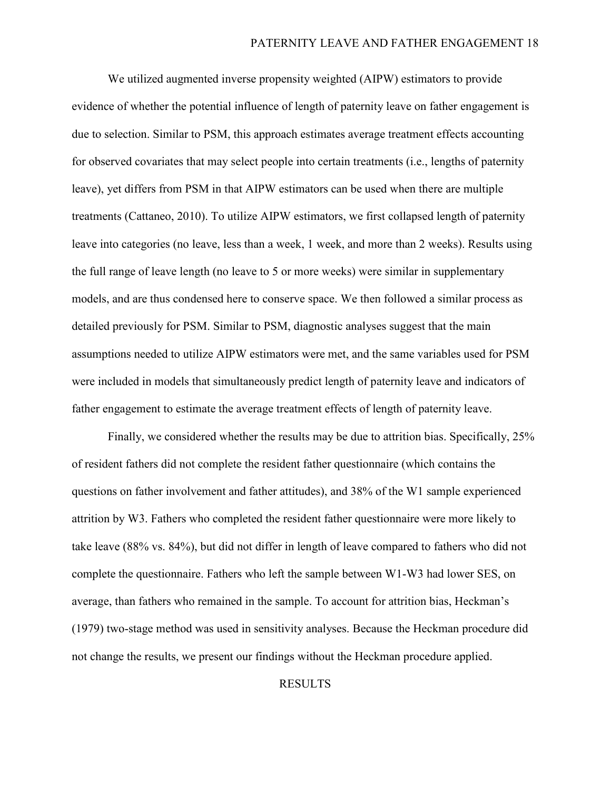We utilized augmented inverse propensity weighted (AIPW) estimators to provide evidence of whether the potential influence of length of paternity leave on father engagement is due to selection. Similar to PSM, this approach estimates average treatment effects accounting for observed covariates that may select people into certain treatments (i.e., lengths of paternity leave), yet differs from PSM in that AIPW estimators can be used when there are multiple treatments (Cattaneo, 2010). To utilize AIPW estimators, we first collapsed length of paternity leave into categories (no leave, less than a week, 1 week, and more than 2 weeks). Results using the full range of leave length (no leave to 5 or more weeks) were similar in supplementary models, and are thus condensed here to conserve space. We then followed a similar process as detailed previously for PSM. Similar to PSM, diagnostic analyses suggest that the main assumptions needed to utilize AIPW estimators were met, and the same variables used for PSM were included in models that simultaneously predict length of paternity leave and indicators of father engagement to estimate the average treatment effects of length of paternity leave.

Finally, we considered whether the results may be due to attrition bias. Specifically, 25% of resident fathers did not complete the resident father questionnaire (which contains the questions on father involvement and father attitudes), and 38% of the W1 sample experienced attrition by W3. Fathers who completed the resident father questionnaire were more likely to take leave (88% vs. 84%), but did not differ in length of leave compared to fathers who did not complete the questionnaire. Fathers who left the sample between W1-W3 had lower SES, on average, than fathers who remained in the sample. To account for attrition bias, Heckman's (1979) two-stage method was used in sensitivity analyses. Because the Heckman procedure did not change the results, we present our findings without the Heckman procedure applied.

# RESULTS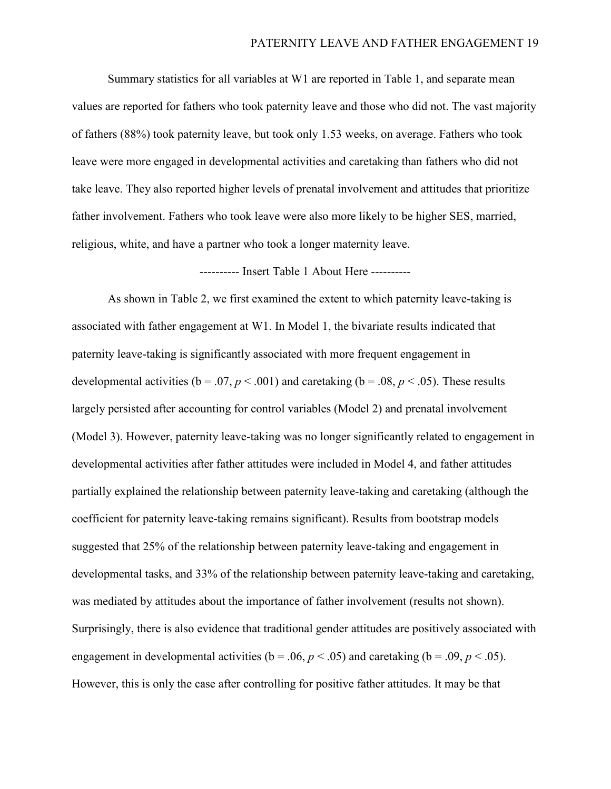Summary statistics for all variables at W1 are reported in Table 1, and separate mean values are reported for fathers who took paternity leave and those who did not. The vast majority of fathers (88%) took paternity leave, but took only 1.53 weeks, on average. Fathers who took leave were more engaged in developmental activities and caretaking than fathers who did not take leave. They also reported higher levels of prenatal involvement and attitudes that prioritize father involvement. Fathers who took leave were also more likely to be higher SES, married, religious, white, and have a partner who took a longer maternity leave.

---------- Insert Table 1 About Here ----------

As shown in Table 2, we first examined the extent to which paternity leave-taking is associated with father engagement at W1. In Model 1, the bivariate results indicated that paternity leave-taking is significantly associated with more frequent engagement in developmental activities ( $b = .07$ ,  $p < .001$ ) and caretaking ( $b = .08$ ,  $p < .05$ ). These results largely persisted after accounting for control variables (Model 2) and prenatal involvement (Model 3). However, paternity leave-taking was no longer significantly related to engagement in developmental activities after father attitudes were included in Model 4, and father attitudes partially explained the relationship between paternity leave-taking and caretaking (although the coefficient for paternity leave-taking remains significant). Results from bootstrap models suggested that 25% of the relationship between paternity leave-taking and engagement in developmental tasks, and 33% of the relationship between paternity leave-taking and caretaking, was mediated by attitudes about the importance of father involvement (results not shown). Surprisingly, there is also evidence that traditional gender attitudes are positively associated with engagement in developmental activities ( $b = .06$ ,  $p < .05$ ) and caretaking ( $b = .09$ ,  $p < .05$ ). However, this is only the case after controlling for positive father attitudes. It may be that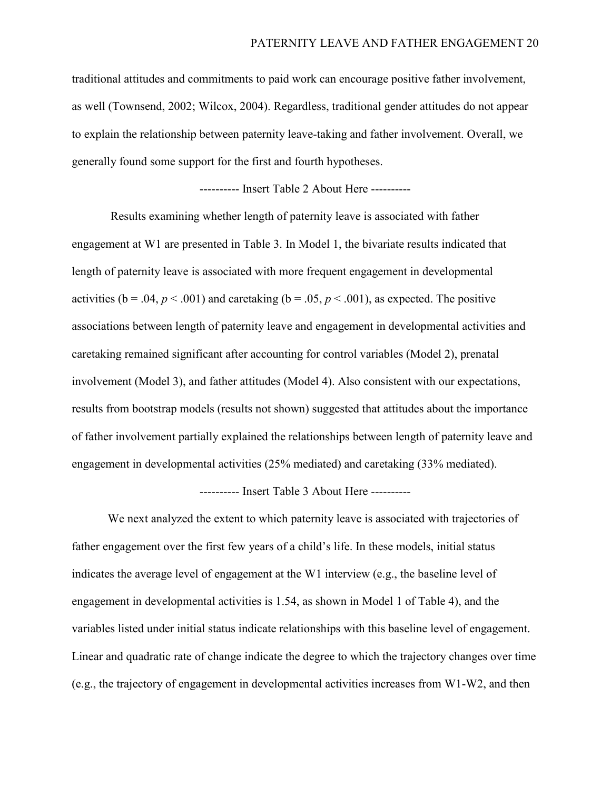traditional attitudes and commitments to paid work can encourage positive father involvement, as well (Townsend, 2002; Wilcox, 2004). Regardless, traditional gender attitudes do not appear to explain the relationship between paternity leave-taking and father involvement. Overall, we generally found some support for the first and fourth hypotheses.

---------- Insert Table 2 About Here ----------

Results examining whether length of paternity leave is associated with father engagement at W1 are presented in Table 3. In Model 1, the bivariate results indicated that length of paternity leave is associated with more frequent engagement in developmental activities ( $b = .04$ ,  $p < .001$ ) and caretaking ( $b = .05$ ,  $p < .001$ ), as expected. The positive associations between length of paternity leave and engagement in developmental activities and caretaking remained significant after accounting for control variables (Model 2), prenatal involvement (Model 3), and father attitudes (Model 4). Also consistent with our expectations, results from bootstrap models (results not shown) suggested that attitudes about the importance of father involvement partially explained the relationships between length of paternity leave and engagement in developmental activities (25% mediated) and caretaking (33% mediated).

# ---------- Insert Table 3 About Here ----------

We next analyzed the extent to which paternity leave is associated with trajectories of father engagement over the first few years of a child's life. In these models, initial status indicates the average level of engagement at the W1 interview (e.g., the baseline level of engagement in developmental activities is 1.54, as shown in Model 1 of Table 4), and the variables listed under initial status indicate relationships with this baseline level of engagement. Linear and quadratic rate of change indicate the degree to which the trajectory changes over time (e.g., the trajectory of engagement in developmental activities increases from W1-W2, and then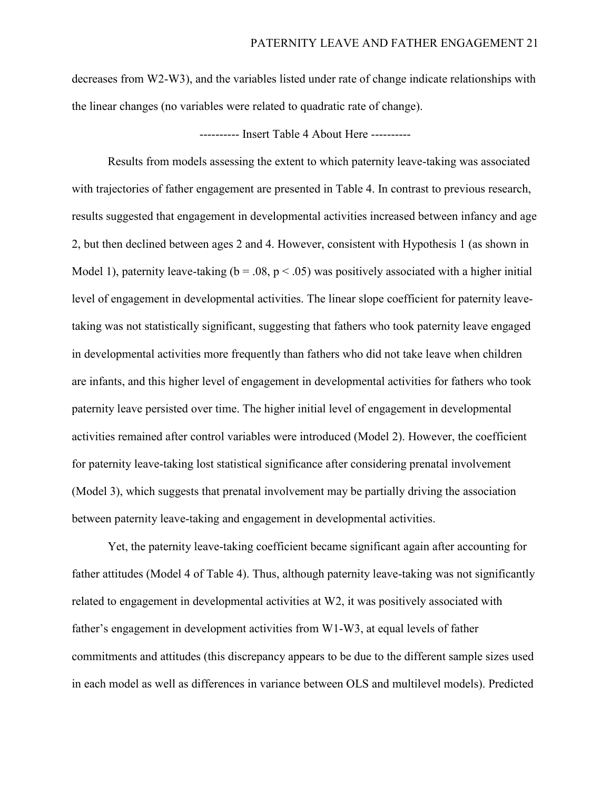decreases from W2-W3), and the variables listed under rate of change indicate relationships with the linear changes (no variables were related to quadratic rate of change).

---------- Insert Table 4 About Here ----------

Results from models assessing the extent to which paternity leave-taking was associated with trajectories of father engagement are presented in Table 4. In contrast to previous research, results suggested that engagement in developmental activities increased between infancy and age 2, but then declined between ages 2 and 4. However, consistent with Hypothesis 1 (as shown in Model 1), paternity leave-taking ( $b = .08$ ,  $p < .05$ ) was positively associated with a higher initial level of engagement in developmental activities. The linear slope coefficient for paternity leavetaking was not statistically significant, suggesting that fathers who took paternity leave engaged in developmental activities more frequently than fathers who did not take leave when children are infants, and this higher level of engagement in developmental activities for fathers who took paternity leave persisted over time. The higher initial level of engagement in developmental activities remained after control variables were introduced (Model 2). However, the coefficient for paternity leave-taking lost statistical significance after considering prenatal involvement (Model 3), which suggests that prenatal involvement may be partially driving the association between paternity leave-taking and engagement in developmental activities.

Yet, the paternity leave-taking coefficient became significant again after accounting for father attitudes (Model 4 of Table 4). Thus, although paternity leave-taking was not significantly related to engagement in developmental activities at W2, it was positively associated with father's engagement in development activities from W1-W3, at equal levels of father commitments and attitudes (this discrepancy appears to be due to the different sample sizes used in each model as well as differences in variance between OLS and multilevel models). Predicted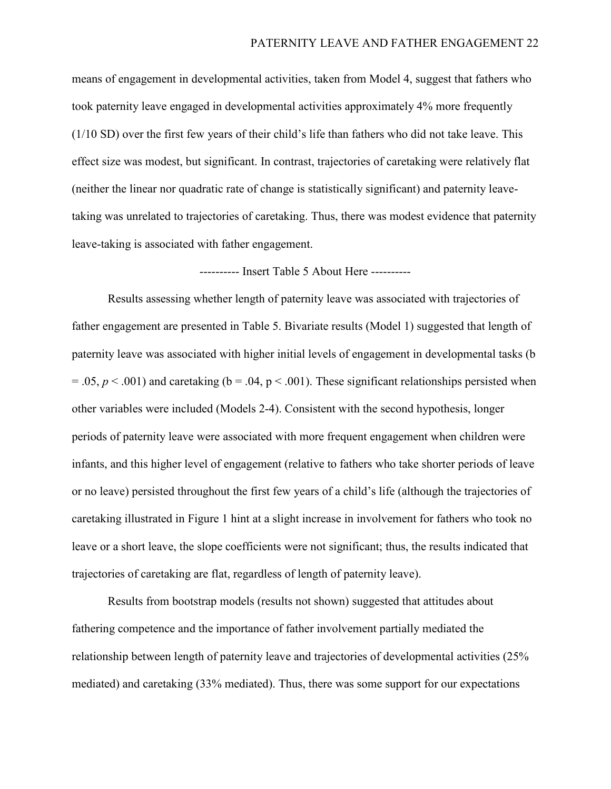means of engagement in developmental activities, taken from Model 4, suggest that fathers who took paternity leave engaged in developmental activities approximately 4% more frequently (1/10 SD) over the first few years of their child's life than fathers who did not take leave. This effect size was modest, but significant. In contrast, trajectories of caretaking were relatively flat (neither the linear nor quadratic rate of change is statistically significant) and paternity leavetaking was unrelated to trajectories of caretaking. Thus, there was modest evidence that paternity leave-taking is associated with father engagement.

---------- Insert Table 5 About Here ----------

Results assessing whether length of paternity leave was associated with trajectories of father engagement are presented in Table 5. Bivariate results (Model 1) suggested that length of paternity leave was associated with higher initial levels of engagement in developmental tasks (b  $= .05, p < .001$ ) and caretaking (b  $= .04, p < .001$ ). These significant relationships persisted when other variables were included (Models 2-4). Consistent with the second hypothesis, longer periods of paternity leave were associated with more frequent engagement when children were infants, and this higher level of engagement (relative to fathers who take shorter periods of leave or no leave) persisted throughout the first few years of a child's life (although the trajectories of caretaking illustrated in Figure 1 hint at a slight increase in involvement for fathers who took no leave or a short leave, the slope coefficients were not significant; thus, the results indicated that trajectories of caretaking are flat, regardless of length of paternity leave).

Results from bootstrap models (results not shown) suggested that attitudes about fathering competence and the importance of father involvement partially mediated the relationship between length of paternity leave and trajectories of developmental activities (25% mediated) and caretaking (33% mediated). Thus, there was some support for our expectations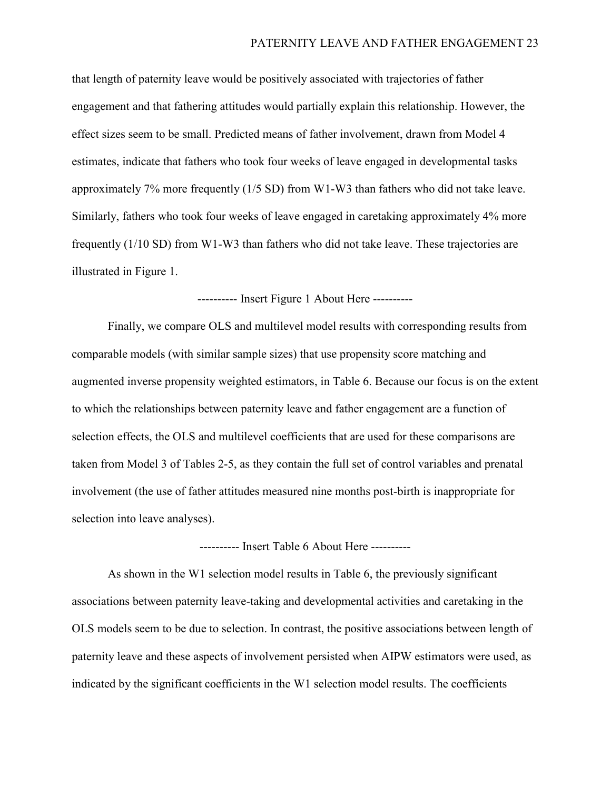that length of paternity leave would be positively associated with trajectories of father engagement and that fathering attitudes would partially explain this relationship. However, the effect sizes seem to be small. Predicted means of father involvement, drawn from Model 4 estimates, indicate that fathers who took four weeks of leave engaged in developmental tasks approximately 7% more frequently (1/5 SD) from W1-W3 than fathers who did not take leave. Similarly, fathers who took four weeks of leave engaged in caretaking approximately 4% more frequently (1/10 SD) from W1-W3 than fathers who did not take leave. These trajectories are illustrated in Figure 1.

---------- Insert Figure 1 About Here ----------

Finally, we compare OLS and multilevel model results with corresponding results from comparable models (with similar sample sizes) that use propensity score matching and augmented inverse propensity weighted estimators, in Table 6. Because our focus is on the extent to which the relationships between paternity leave and father engagement are a function of selection effects, the OLS and multilevel coefficients that are used for these comparisons are taken from Model 3 of Tables 2-5, as they contain the full set of control variables and prenatal involvement (the use of father attitudes measured nine months post-birth is inappropriate for selection into leave analyses).

---------- Insert Table 6 About Here ----------

As shown in the W1 selection model results in Table 6, the previously significant associations between paternity leave-taking and developmental activities and caretaking in the OLS models seem to be due to selection. In contrast, the positive associations between length of paternity leave and these aspects of involvement persisted when AIPW estimators were used, as indicated by the significant coefficients in the W1 selection model results. The coefficients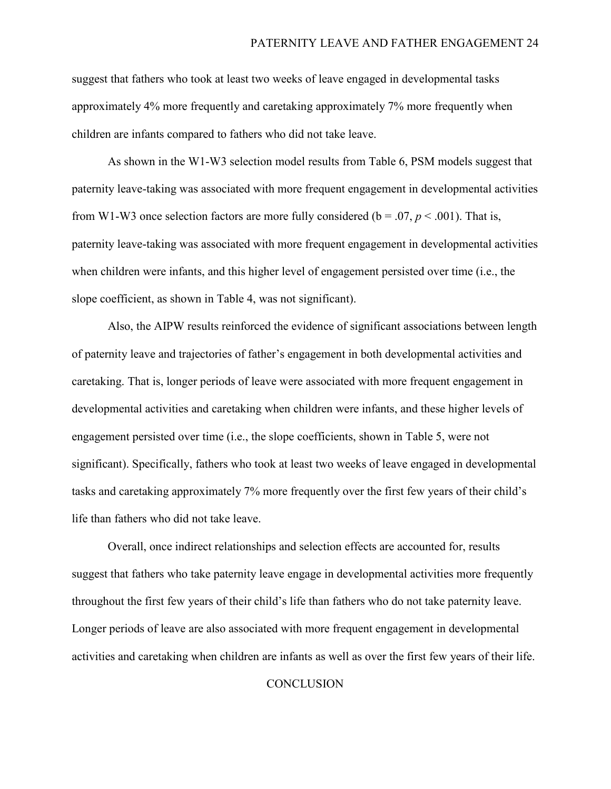suggest that fathers who took at least two weeks of leave engaged in developmental tasks approximately 4% more frequently and caretaking approximately 7% more frequently when children are infants compared to fathers who did not take leave.

As shown in the W1-W3 selection model results from Table 6, PSM models suggest that paternity leave-taking was associated with more frequent engagement in developmental activities from W1-W3 once selection factors are more fully considered ( $b = .07$ ,  $p < .001$ ). That is, paternity leave-taking was associated with more frequent engagement in developmental activities when children were infants, and this higher level of engagement persisted over time (i.e., the slope coefficient, as shown in Table 4, was not significant).

Also, the AIPW results reinforced the evidence of significant associations between length of paternity leave and trajectories of father's engagement in both developmental activities and caretaking. That is, longer periods of leave were associated with more frequent engagement in developmental activities and caretaking when children were infants, and these higher levels of engagement persisted over time (i.e., the slope coefficients, shown in Table 5, were not significant). Specifically, fathers who took at least two weeks of leave engaged in developmental tasks and caretaking approximately 7% more frequently over the first few years of their child's life than fathers who did not take leave.

Overall, once indirect relationships and selection effects are accounted for, results suggest that fathers who take paternity leave engage in developmental activities more frequently throughout the first few years of their child's life than fathers who do not take paternity leave. Longer periods of leave are also associated with more frequent engagement in developmental activities and caretaking when children are infants as well as over the first few years of their life.

#### **CONCLUSION**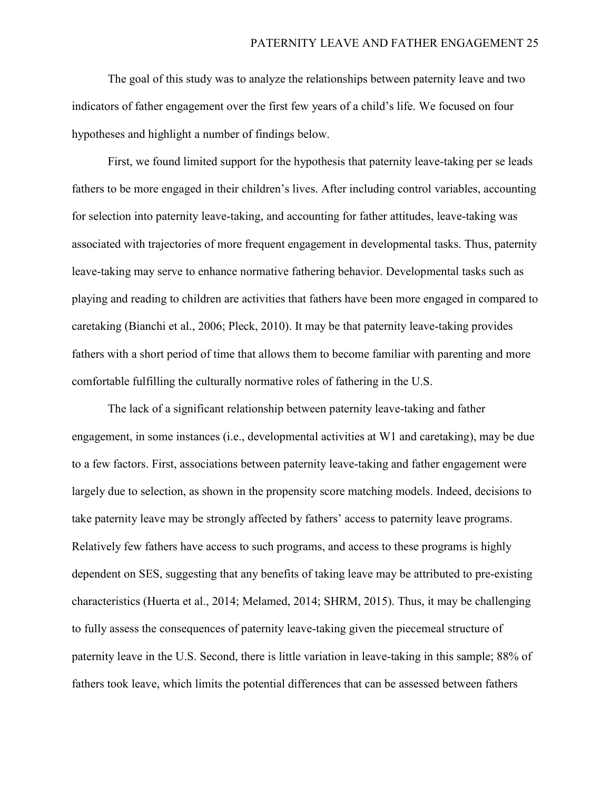The goal of this study was to analyze the relationships between paternity leave and two indicators of father engagement over the first few years of a child's life. We focused on four hypotheses and highlight a number of findings below.

First, we found limited support for the hypothesis that paternity leave-taking per se leads fathers to be more engaged in their children's lives. After including control variables, accounting for selection into paternity leave-taking, and accounting for father attitudes, leave-taking was associated with trajectories of more frequent engagement in developmental tasks. Thus, paternity leave-taking may serve to enhance normative fathering behavior. Developmental tasks such as playing and reading to children are activities that fathers have been more engaged in compared to caretaking (Bianchi et al., 2006; Pleck, 2010). It may be that paternity leave-taking provides fathers with a short period of time that allows them to become familiar with parenting and more comfortable fulfilling the culturally normative roles of fathering in the U.S.

The lack of a significant relationship between paternity leave-taking and father engagement, in some instances (i.e., developmental activities at W1 and caretaking), may be due to a few factors. First, associations between paternity leave-taking and father engagement were largely due to selection, as shown in the propensity score matching models. Indeed, decisions to take paternity leave may be strongly affected by fathers' access to paternity leave programs. Relatively few fathers have access to such programs, and access to these programs is highly dependent on SES, suggesting that any benefits of taking leave may be attributed to pre-existing characteristics (Huerta et al., 2014; Melamed, 2014; SHRM, 2015). Thus, it may be challenging to fully assess the consequences of paternity leave-taking given the piecemeal structure of paternity leave in the U.S. Second, there is little variation in leave-taking in this sample; 88% of fathers took leave, which limits the potential differences that can be assessed between fathers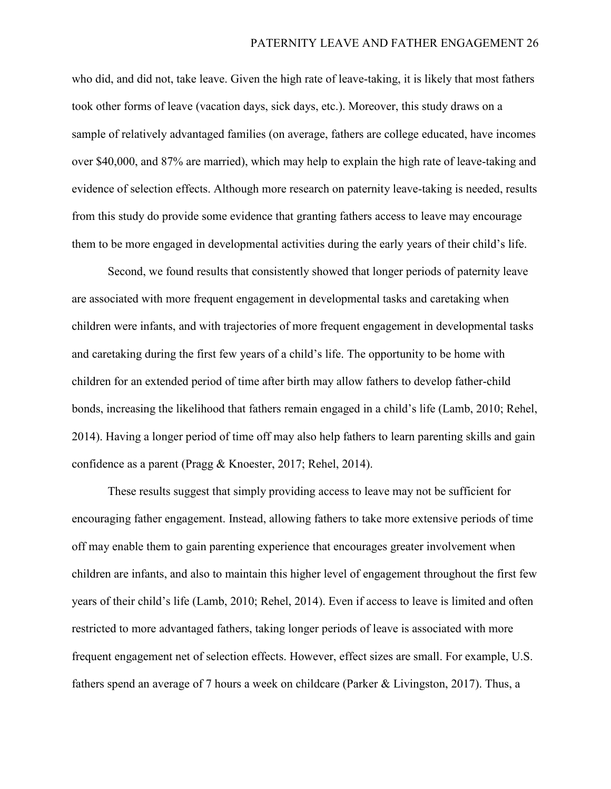who did, and did not, take leave. Given the high rate of leave-taking, it is likely that most fathers took other forms of leave (vacation days, sick days, etc.). Moreover, this study draws on a sample of relatively advantaged families (on average, fathers are college educated, have incomes over \$40,000, and 87% are married), which may help to explain the high rate of leave-taking and evidence of selection effects. Although more research on paternity leave-taking is needed, results from this study do provide some evidence that granting fathers access to leave may encourage them to be more engaged in developmental activities during the early years of their child's life.

Second, we found results that consistently showed that longer periods of paternity leave are associated with more frequent engagement in developmental tasks and caretaking when children were infants, and with trajectories of more frequent engagement in developmental tasks and caretaking during the first few years of a child's life. The opportunity to be home with children for an extended period of time after birth may allow fathers to develop father-child bonds, increasing the likelihood that fathers remain engaged in a child's life (Lamb, 2010; Rehel, 2014). Having a longer period of time off may also help fathers to learn parenting skills and gain confidence as a parent (Pragg & Knoester, 2017; Rehel, 2014).

These results suggest that simply providing access to leave may not be sufficient for encouraging father engagement. Instead, allowing fathers to take more extensive periods of time off may enable them to gain parenting experience that encourages greater involvement when children are infants, and also to maintain this higher level of engagement throughout the first few years of their child's life (Lamb, 2010; Rehel, 2014). Even if access to leave is limited and often restricted to more advantaged fathers, taking longer periods of leave is associated with more frequent engagement net of selection effects. However, effect sizes are small. For example, U.S. fathers spend an average of 7 hours a week on childcare (Parker & Livingston, 2017). Thus, a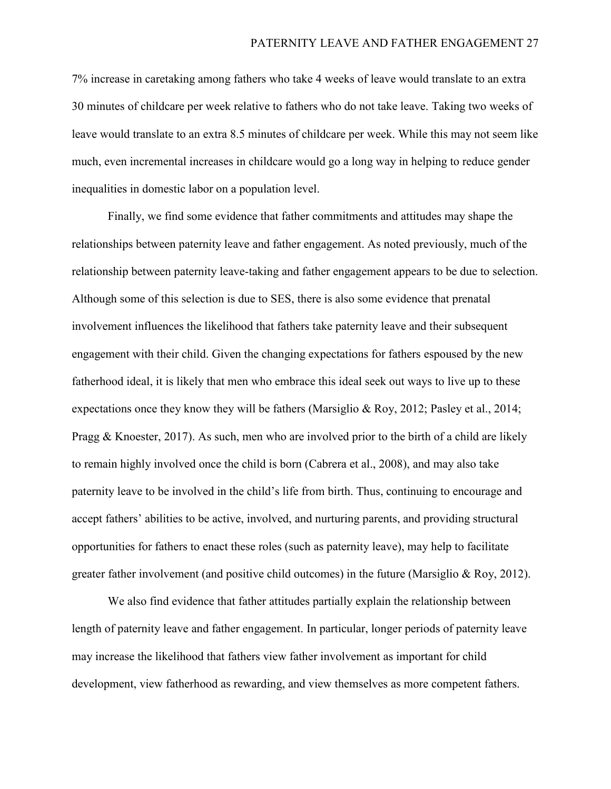7% increase in caretaking among fathers who take 4 weeks of leave would translate to an extra 30 minutes of childcare per week relative to fathers who do not take leave. Taking two weeks of leave would translate to an extra 8.5 minutes of childcare per week. While this may not seem like much, even incremental increases in childcare would go a long way in helping to reduce gender inequalities in domestic labor on a population level.

Finally, we find some evidence that father commitments and attitudes may shape the relationships between paternity leave and father engagement. As noted previously, much of the relationship between paternity leave-taking and father engagement appears to be due to selection. Although some of this selection is due to SES, there is also some evidence that prenatal involvement influences the likelihood that fathers take paternity leave and their subsequent engagement with their child. Given the changing expectations for fathers espoused by the new fatherhood ideal, it is likely that men who embrace this ideal seek out ways to live up to these expectations once they know they will be fathers (Marsiglio & Roy, 2012; Pasley et al., 2014; Pragg & Knoester, 2017). As such, men who are involved prior to the birth of a child are likely to remain highly involved once the child is born (Cabrera et al., 2008), and may also take paternity leave to be involved in the child's life from birth. Thus, continuing to encourage and accept fathers' abilities to be active, involved, and nurturing parents, and providing structural opportunities for fathers to enact these roles (such as paternity leave), may help to facilitate greater father involvement (and positive child outcomes) in the future (Marsiglio & Roy, 2012).

We also find evidence that father attitudes partially explain the relationship between length of paternity leave and father engagement. In particular, longer periods of paternity leave may increase the likelihood that fathers view father involvement as important for child development, view fatherhood as rewarding, and view themselves as more competent fathers.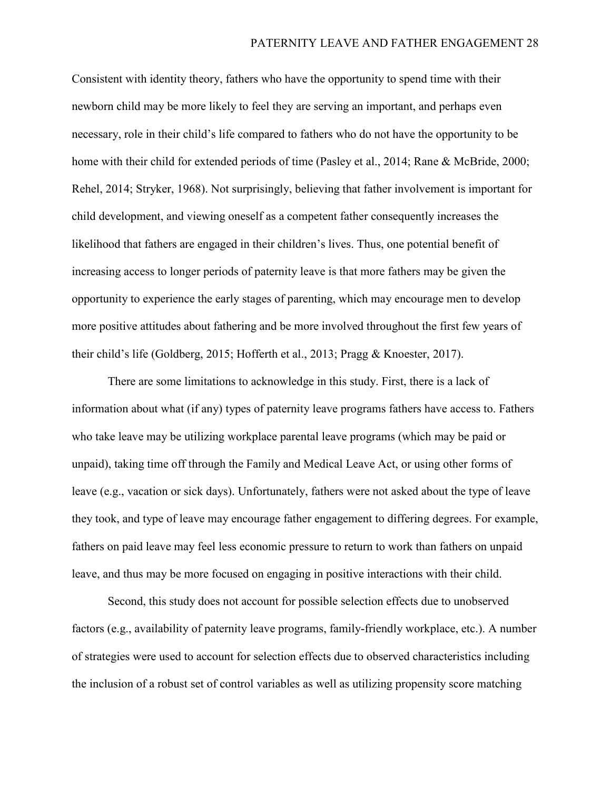Consistent with identity theory, fathers who have the opportunity to spend time with their newborn child may be more likely to feel they are serving an important, and perhaps even necessary, role in their child's life compared to fathers who do not have the opportunity to be home with their child for extended periods of time (Pasley et al., 2014; Rane & McBride, 2000; Rehel, 2014; Stryker, 1968). Not surprisingly, believing that father involvement is important for child development, and viewing oneself as a competent father consequently increases the likelihood that fathers are engaged in their children's lives. Thus, one potential benefit of increasing access to longer periods of paternity leave is that more fathers may be given the opportunity to experience the early stages of parenting, which may encourage men to develop more positive attitudes about fathering and be more involved throughout the first few years of their child's life (Goldberg, 2015; Hofferth et al., 2013; Pragg & Knoester, 2017).

There are some limitations to acknowledge in this study. First, there is a lack of information about what (if any) types of paternity leave programs fathers have access to. Fathers who take leave may be utilizing workplace parental leave programs (which may be paid or unpaid), taking time off through the Family and Medical Leave Act, or using other forms of leave (e.g., vacation or sick days). Unfortunately, fathers were not asked about the type of leave they took, and type of leave may encourage father engagement to differing degrees. For example, fathers on paid leave may feel less economic pressure to return to work than fathers on unpaid leave, and thus may be more focused on engaging in positive interactions with their child.

Second, this study does not account for possible selection effects due to unobserved factors (e.g., availability of paternity leave programs, family-friendly workplace, etc.). A number of strategies were used to account for selection effects due to observed characteristics including the inclusion of a robust set of control variables as well as utilizing propensity score matching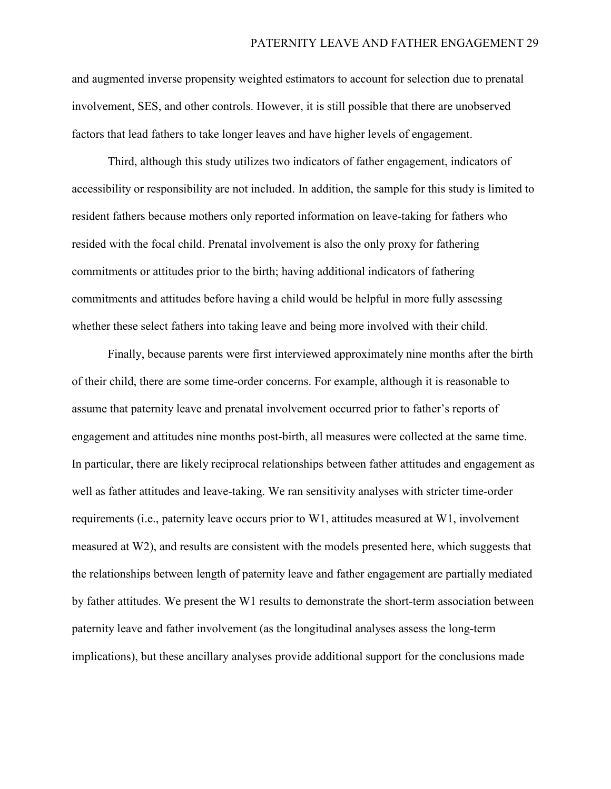and augmented inverse propensity weighted estimators to account for selection due to prenatal involvement, SES, and other controls. However, it is still possible that there are unobserved factors that lead fathers to take longer leaves and have higher levels of engagement.

Third, although this study utilizes two indicators of father engagement, indicators of accessibility or responsibility are not included. In addition, the sample for this study is limited to resident fathers because mothers only reported information on leave-taking for fathers who resided with the focal child. Prenatal involvement is also the only proxy for fathering commitments or attitudes prior to the birth; having additional indicators of fathering commitments and attitudes before having a child would be helpful in more fully assessing whether these select fathers into taking leave and being more involved with their child.

Finally, because parents were first interviewed approximately nine months after the birth of their child, there are some time-order concerns. For example, although it is reasonable to assume that paternity leave and prenatal involvement occurred prior to father's reports of engagement and attitudes nine months post-birth, all measures were collected at the same time. In particular, there are likely reciprocal relationships between father attitudes and engagement as well as father attitudes and leave-taking. We ran sensitivity analyses with stricter time-order requirements (i.e., paternity leave occurs prior to W1, attitudes measured at W1, involvement measured at W2), and results are consistent with the models presented here, which suggests that the relationships between length of paternity leave and father engagement are partially mediated by father attitudes. We present the W1 results to demonstrate the short-term association between paternity leave and father involvement (as the longitudinal analyses assess the long-term implications), but these ancillary analyses provide additional support for the conclusions made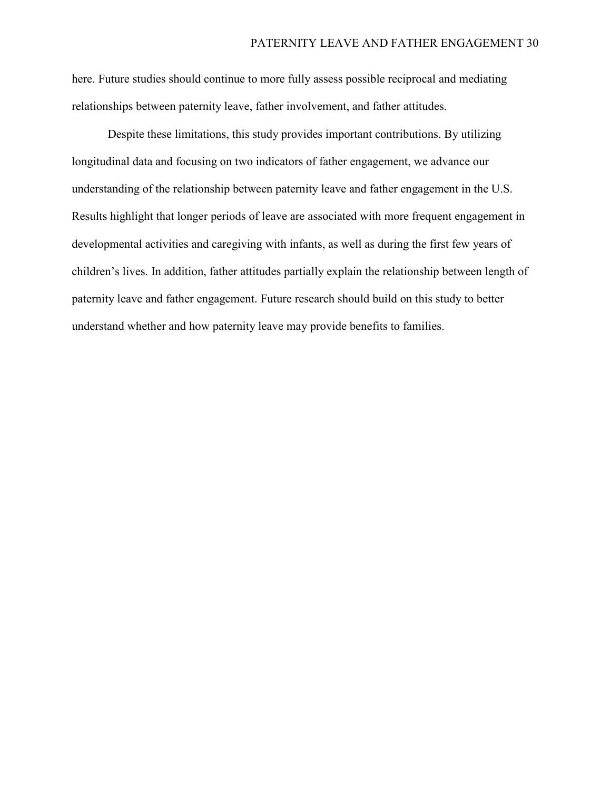here. Future studies should continue to more fully assess possible reciprocal and mediating relationships between paternity leave, father involvement, and father attitudes.

Despite these limitations, this study provides important contributions. By utilizing longitudinal data and focusing on two indicators of father engagement, we advance our understanding of the relationship between paternity leave and father engagement in the U.S. Results highlight that longer periods of leave are associated with more frequent engagement in developmental activities and caregiving with infants, as well as during the first few years of children's lives. In addition, father attitudes partially explain the relationship between length of paternity leave and father engagement. Future research should build on this study to better understand whether and how paternity leave may provide benefits to families.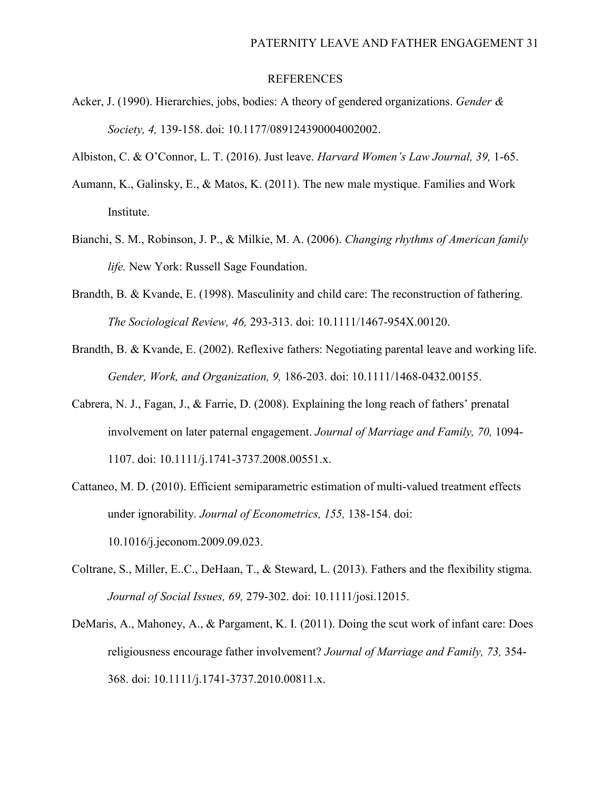#### **REFERENCES**

- Acker, J. (1990). Hierarchies, jobs, bodies: A theory of gendered organizations. *Gender & Society, 4,* 139-158. doi: 10.1177/089124390004002002.
- Albiston, C. & O'Connor, L. T. (2016). Just leave. *Harvard Women's Law Journal, 39,* 1-65.
- Aumann, K., Galinsky, E., & Matos, K. (2011). The new male mystique. Families and Work Institute.
- Bianchi, S. M., Robinson, J. P., & Milkie, M. A. (2006). *Changing rhythms of American family life.* New York: Russell Sage Foundation.
- Brandth, B. & Kvande, E. (1998). Masculinity and child care: The reconstruction of fathering. *The Sociological Review, 46,* 293-313. doi: 10.1111/1467-954X.00120.
- Brandth, B. & Kvande, E. (2002). Reflexive fathers: Negotiating parental leave and working life. *Gender, Work, and Organization, 9,* 186-203. doi: 10.1111/1468-0432.00155.
- Cabrera, N. J., Fagan, J., & Farrie, D. (2008). Explaining the long reach of fathers' prenatal involvement on later paternal engagement. *Journal of Marriage and Family, 70,* 1094- 1107. doi: 10.1111/j.1741-3737.2008.00551.x.
- Cattaneo, M. D. (2010). Efficient semiparametric estimation of multi-valued treatment effects under ignorability. *Journal of Econometrics, 155,* 138-154. doi: 10.1016/j.jeconom.2009.09.023.
- Coltrane, S., Miller, E..C., DeHaan, T., & Steward, L. (2013). Fathers and the flexibility stigma. *Journal of Social Issues, 69,* 279-302. doi: 10.1111/josi.12015.
- DeMaris, A., Mahoney, A., & Pargament, K. I. (2011). Doing the scut work of infant care: Does religiousness encourage father involvement? *Journal of Marriage and Family, 73,* 354- 368. doi: 10.1111/j.1741-3737.2010.00811.x.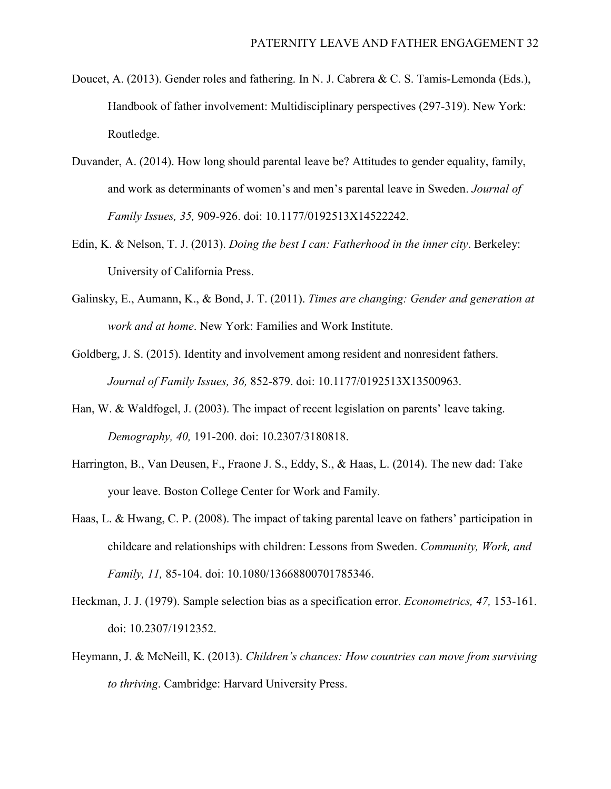- Doucet, A. (2013). Gender roles and fathering. In N. J. Cabrera & C. S. Tamis-Lemonda (Eds.), Handbook of father involvement: Multidisciplinary perspectives (297-319). New York: Routledge.
- Duvander, A. (2014). How long should parental leave be? Attitudes to gender equality, family, and work as determinants of women's and men's parental leave in Sweden. *Journal of Family Issues, 35,* 909-926. doi: 10.1177/0192513X14522242.
- Edin, K. & Nelson, T. J. (2013). *Doing the best I can: Fatherhood in the inner city*. Berkeley: University of California Press.
- Galinsky, E., Aumann, K., & Bond, J. T. (2011). *Times are changing: Gender and generation at work and at home*. New York: Families and Work Institute.
- Goldberg, J. S. (2015). Identity and involvement among resident and nonresident fathers. *Journal of Family Issues, 36,* 852-879. doi: 10.1177/0192513X13500963.
- Han, W. & Waldfogel, J. (2003). The impact of recent legislation on parents' leave taking. *Demography, 40,* 191-200. doi: 10.2307/3180818.
- Harrington, B., Van Deusen, F., Fraone J. S., Eddy, S., & Haas, L. (2014). The new dad: Take your leave. Boston College Center for Work and Family.
- Haas, L. & Hwang, C. P. (2008). The impact of taking parental leave on fathers' participation in childcare and relationships with children: Lessons from Sweden. *Community, Work, and Family, 11,* 85-104. doi: 10.1080/13668800701785346.
- Heckman, J. J. (1979). Sample selection bias as a specification error. *Econometrics, 47,* 153-161. doi: 10.2307/1912352.
- Heymann, J. & McNeill, K. (2013). *Children's chances: How countries can move from surviving to thriving*. Cambridge: Harvard University Press.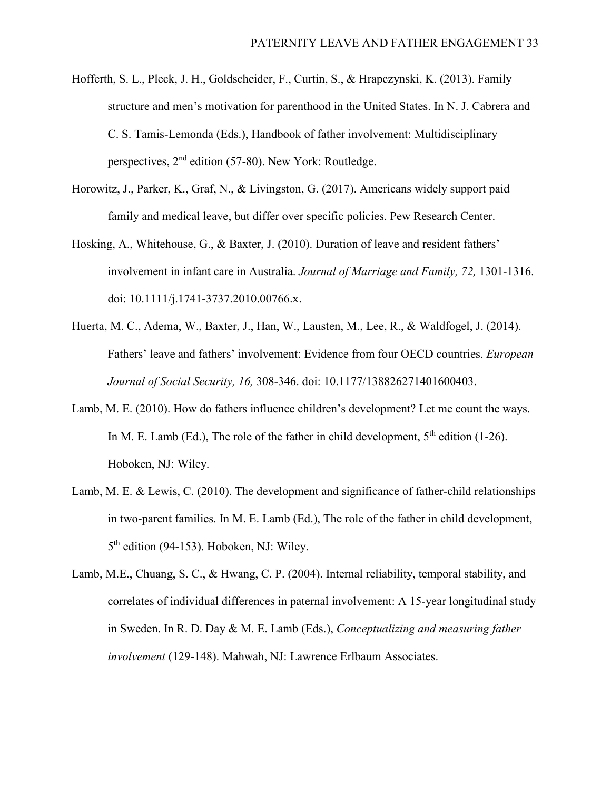- Hofferth, S. L., Pleck, J. H., Goldscheider, F., Curtin, S., & Hrapczynski, K. (2013). Family structure and men's motivation for parenthood in the United States. In N. J. Cabrera and C. S. Tamis-Lemonda (Eds.), Handbook of father involvement: Multidisciplinary perspectives,  $2<sup>nd</sup>$  edition (57-80). New York: Routledge.
- Horowitz, J., Parker, K., Graf, N., & Livingston, G. (2017). Americans widely support paid family and medical leave, but differ over specific policies. Pew Research Center.
- Hosking, A., Whitehouse, G., & Baxter, J. (2010). Duration of leave and resident fathers' involvement in infant care in Australia. *Journal of Marriage and Family, 72,* 1301-1316. doi: 10.1111/j.1741-3737.2010.00766.x.
- Huerta, M. C., Adema, W., Baxter, J., Han, W., Lausten, M., Lee, R., & Waldfogel, J. (2014). Fathers' leave and fathers' involvement: Evidence from four OECD countries. *European Journal of Social Security, 16,* 308-346. doi: 10.1177/138826271401600403.
- Lamb, M. E. (2010). How do fathers influence children's development? Let me count the ways. In M. E. Lamb (Ed.), The role of the father in child development,  $5<sup>th</sup>$  edition (1-26). Hoboken, NJ: Wiley.
- Lamb, M. E. & Lewis, C. (2010). The development and significance of father-child relationships in two-parent families. In M. E. Lamb (Ed.), The role of the father in child development, 5<sup>th</sup> edition (94-153). Hoboken, NJ: Wiley.
- Lamb, M.E., Chuang, S. C., & Hwang, C. P. (2004). Internal reliability, temporal stability, and correlates of individual differences in paternal involvement: A 15-year longitudinal study in Sweden. In R. D. Day & M. E. Lamb (Eds.), *Conceptualizing and measuring father involvement* (129-148). Mahwah, NJ: Lawrence Erlbaum Associates.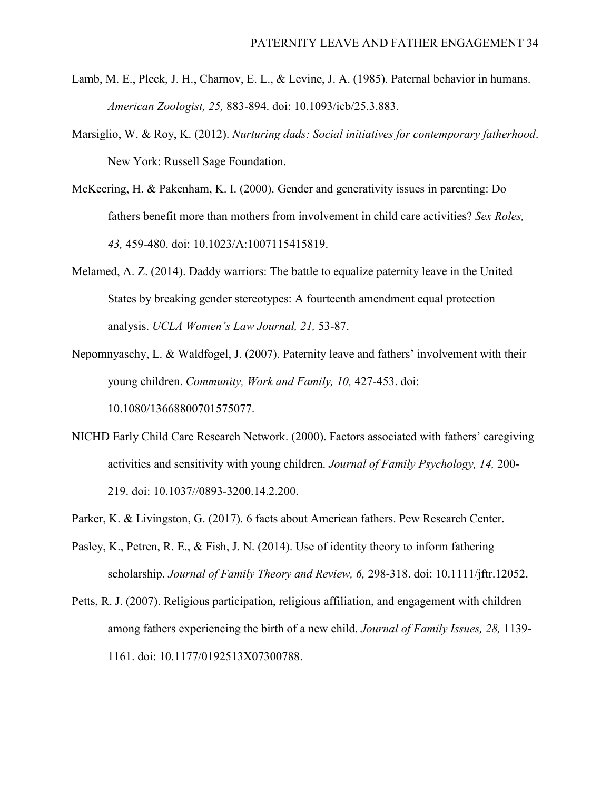- Lamb, M. E., Pleck, J. H., Charnov, E. L., & Levine, J. A. (1985). Paternal behavior in humans. *American Zoologist, 25,* 883-894. doi: 10.1093/icb/25.3.883.
- Marsiglio, W. & Roy, K. (2012). *Nurturing dads: Social initiatives for contemporary fatherhood*. New York: Russell Sage Foundation.
- McKeering, H. & Pakenham, K. I. (2000). Gender and generativity issues in parenting: Do fathers benefit more than mothers from involvement in child care activities? *Sex Roles, 43,* 459-480. doi: 10.1023/A:1007115415819.
- Melamed, A. Z. (2014). Daddy warriors: The battle to equalize paternity leave in the United States by breaking gender stereotypes: A fourteenth amendment equal protection analysis. *UCLA Women's Law Journal, 21,* 53-87.
- Nepomnyaschy, L. & Waldfogel, J. (2007). Paternity leave and fathers' involvement with their young children. *Community, Work and Family, 10,* 427-453. doi: 10.1080/13668800701575077.
- NICHD Early Child Care Research Network. (2000). Factors associated with fathers' caregiving activities and sensitivity with young children. *Journal of Family Psychology, 14,* 200- 219. doi: 10.1037//0893-3200.14.2.200.
- Parker, K. & Livingston, G. (2017). 6 facts about American fathers. Pew Research Center.
- Pasley, K., Petren, R. E., & Fish, J. N. (2014). Use of identity theory to inform fathering scholarship. *Journal of Family Theory and Review, 6,* 298-318. doi: 10.1111/jftr.12052.
- Petts, R. J. (2007). Religious participation, religious affiliation, and engagement with children among fathers experiencing the birth of a new child. *Journal of Family Issues, 28,* 1139- 1161. doi: 10.1177/0192513X07300788.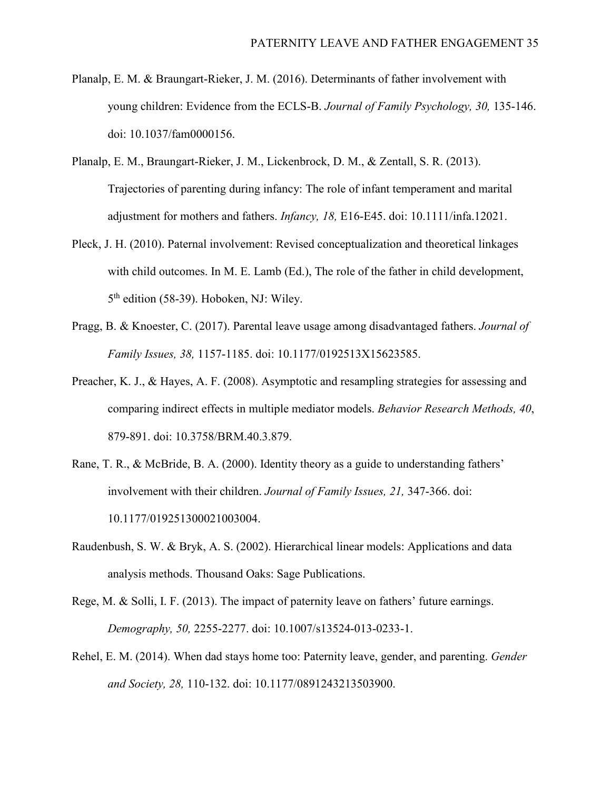- Planalp, E. M. & Braungart-Rieker, J. M. (2016). Determinants of father involvement with young children: Evidence from the ECLS-B. *Journal of Family Psychology, 30,* 135-146. doi: 10.1037/fam0000156.
- Planalp, E. M., Braungart-Rieker, J. M., Lickenbrock, D. M., & Zentall, S. R. (2013). Trajectories of parenting during infancy: The role of infant temperament and marital adjustment for mothers and fathers. *Infancy, 18,* E16-E45. doi: 10.1111/infa.12021.
- Pleck, J. H. (2010). Paternal involvement: Revised conceptualization and theoretical linkages with child outcomes. In M. E. Lamb (Ed.), The role of the father in child development, 5<sup>th</sup> edition (58-39). Hoboken, NJ: Wiley.
- Pragg, B. & Knoester, C. (2017). Parental leave usage among disadvantaged fathers. *Journal of Family Issues, 38,* 1157-1185. doi: 10.1177/0192513X15623585.
- Preacher, K. J., & Hayes, A. F. (2008). Asymptotic and resampling strategies for assessing and comparing indirect effects in multiple mediator models. *Behavior Research Methods, 40*, 879-891. doi: 10.3758/BRM.40.3.879.
- Rane, T. R., & McBride, B. A. (2000). Identity theory as a guide to understanding fathers' involvement with their children. *Journal of Family Issues, 21,* 347-366. doi: 10.1177/019251300021003004.
- Raudenbush, S. W. & Bryk, A. S. (2002). Hierarchical linear models: Applications and data analysis methods. Thousand Oaks: Sage Publications.
- Rege, M. & Solli, I. F. (2013). The impact of paternity leave on fathers' future earnings. *Demography, 50,* 2255-2277. doi: 10.1007/s13524-013-0233-1.
- Rehel, E. M. (2014). When dad stays home too: Paternity leave, gender, and parenting. *Gender and Society, 28,* 110-132. doi: 10.1177/0891243213503900.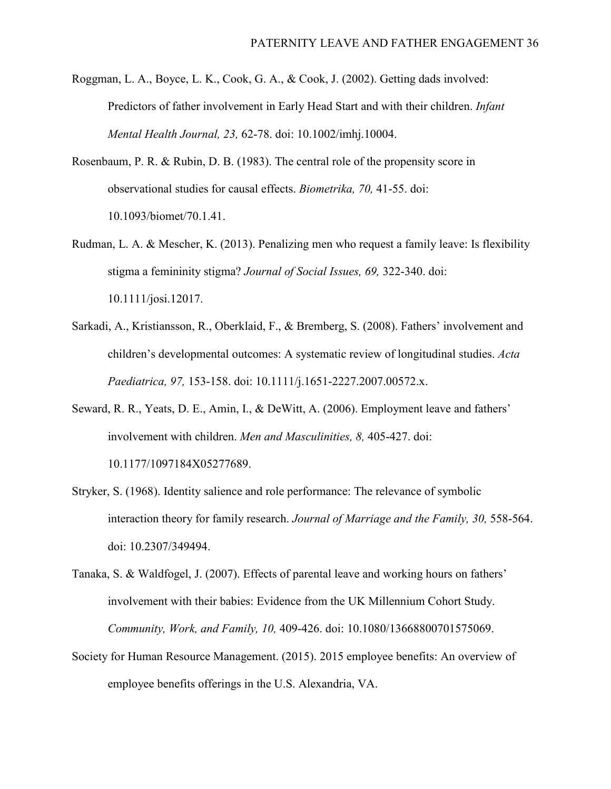- Roggman, L. A., Boyce, L. K., Cook, G. A., & Cook, J. (2002). Getting dads involved: Predictors of father involvement in Early Head Start and with their children. *Infant Mental Health Journal, 23,* 62-78. doi: 10.1002/imhj.10004.
- Rosenbaum, P. R. & Rubin, D. B. (1983). The central role of the propensity score in observational studies for causal effects. *Biometrika, 70,* 41-55. doi: 10.1093/biomet/70.1.41.
- Rudman, L. A. & Mescher, K. (2013). Penalizing men who request a family leave: Is flexibility stigma a femininity stigma? *Journal of Social Issues, 69,* 322-340. doi: 10.1111/josi.12017.
- Sarkadi, A., Kristiansson, R., Oberklaid, F., & Bremberg, S. (2008). Fathers' involvement and children's developmental outcomes: A systematic review of longitudinal studies. *Acta Paediatrica, 97,* 153-158. doi: 10.1111/j.1651-2227.2007.00572.x.
- Seward, R. R., Yeats, D. E., Amin, I., & DeWitt, A. (2006). Employment leave and fathers' involvement with children. *Men and Masculinities, 8,* 405-427. doi: 10.1177/1097184X05277689.
- Stryker, S. (1968). Identity salience and role performance: The relevance of symbolic interaction theory for family research. *Journal of Marriage and the Family, 30,* 558-564. doi: 10.2307/349494.
- Tanaka, S. & Waldfogel, J. (2007). Effects of parental leave and working hours on fathers' involvement with their babies: Evidence from the UK Millennium Cohort Study. *Community, Work, and Family, 10,* 409-426. doi: 10.1080/13668800701575069.
- Society for Human Resource Management. (2015). 2015 employee benefits: An overview of employee benefits offerings in the U.S. Alexandria, VA.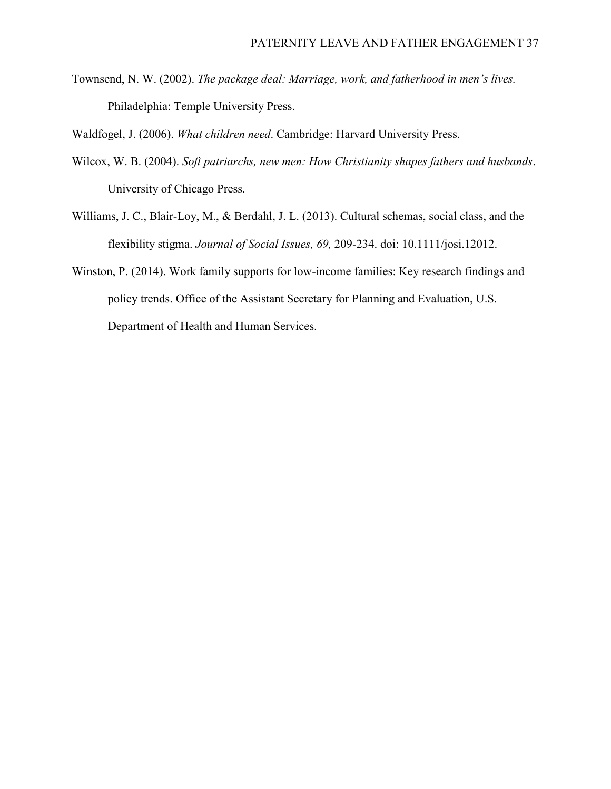Townsend, N. W. (2002). *The package deal: Marriage, work, and fatherhood in men's lives.*  Philadelphia: Temple University Press.

Waldfogel, J. (2006). *What children need*. Cambridge: Harvard University Press.

- Wilcox, W. B. (2004). *Soft patriarchs, new men: How Christianity shapes fathers and husbands*. University of Chicago Press.
- Williams, J. C., Blair-Loy, M., & Berdahl, J. L. (2013). Cultural schemas, social class, and the flexibility stigma. *Journal of Social Issues, 69,* 209-234. doi: 10.1111/josi.12012.
- Winston, P. (2014). Work family supports for low-income families: Key research findings and policy trends. Office of the Assistant Secretary for Planning and Evaluation, U.S. Department of Health and Human Services.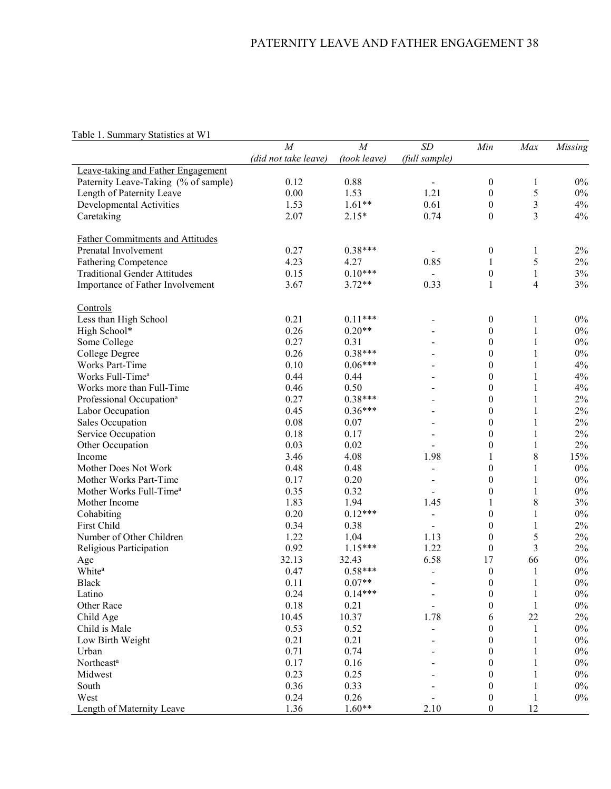# Table 1. Summary Statistics at W1

|                                         | M<br>M               |              | SD                       | Min              | Max            | Missing |
|-----------------------------------------|----------------------|--------------|--------------------------|------------------|----------------|---------|
|                                         | (did not take leave) | (took leave) | (full sample)            |                  |                |         |
| Leave-taking and Father Engagement      |                      |              |                          |                  |                |         |
| Paternity Leave-Taking (% of sample)    | 0.12                 | 0.88         |                          | $\boldsymbol{0}$ | 1              | $0\%$   |
| Length of Paternity Leave               | 0.00                 | 1.53         | 1.21                     | $\boldsymbol{0}$ | 5              | $0\%$   |
| Developmental Activities                | 1.53                 | $1.61**$     | 0.61                     | $\boldsymbol{0}$ | $\mathfrak{Z}$ | $4\%$   |
| Caretaking                              | 2.07                 | $2.15*$      | 0.74                     | $\boldsymbol{0}$ | 3              | 4%      |
|                                         |                      |              |                          |                  |                |         |
| <b>Father Commitments and Attitudes</b> |                      |              |                          |                  |                |         |
| Prenatal Involvement                    | 0.27                 | $0.38***$    |                          | $\boldsymbol{0}$ | 1              | $2\%$   |
| <b>Fathering Competence</b>             | 4.23                 | 4.27         | 0.85                     | $\mathbf{1}$     | 5              | $2\%$   |
| <b>Traditional Gender Attitudes</b>     | 0.15                 | $0.10***$    |                          | $\boldsymbol{0}$ | $\mathbf{1}$   | $3\%$   |
| Importance of Father Involvement        | 3.67                 | $3.72**$     | 0.33                     | $\mathbf{1}$     | 4              | 3%      |
|                                         |                      |              |                          |                  |                |         |
| Controls                                |                      |              |                          |                  |                |         |
| Less than High School                   | 0.21                 | $0.11***$    |                          | $\boldsymbol{0}$ | 1              | $0\%$   |
| High School*                            | 0.26                 | $0.20**$     |                          | $\boldsymbol{0}$ | $\mathbf{1}$   | $0\%$   |
| Some College                            | 0.27                 | 0.31         |                          | $\boldsymbol{0}$ | 1              | $0\%$   |
| College Degree                          | 0.26                 | $0.38***$    |                          | $\boldsymbol{0}$ | 1              | $0\%$   |
| Works Part-Time                         | 0.10                 | $0.06***$    |                          | $\boldsymbol{0}$ | 1              | 4%      |
| Works Full-Time <sup>a</sup>            | 0.44                 | 0.44         |                          | $\boldsymbol{0}$ | 1              | $4\%$   |
| Works more than Full-Time               | 0.46                 | 0.50         |                          | $\boldsymbol{0}$ | 1              | $4\%$   |
| Professional Occupation <sup>a</sup>    | 0.27                 | $0.38***$    |                          | $\boldsymbol{0}$ | 1              | $2\%$   |
| Labor Occupation                        | 0.45                 | $0.36***$    |                          | $\boldsymbol{0}$ | $\mathbf{1}$   | $2\%$   |
| Sales Occupation                        | 0.08                 | 0.07         |                          | $\boldsymbol{0}$ | $\mathbf{1}$   | $2\%$   |
| Service Occupation                      | 0.18                 | 0.17         |                          | $\boldsymbol{0}$ | $\mathbf{1}$   | $2\%$   |
| Other Occupation                        | 0.03                 | 0.02         |                          | $\boldsymbol{0}$ | 1              | 2%      |
| Income                                  | 3.46                 | 4.08         | 1.98                     | 1                | 8              | 15%     |
| Mother Does Not Work                    | 0.48                 | 0.48         |                          | $\boldsymbol{0}$ |                | $0\%$   |
|                                         | 0.17                 | 0.20         |                          |                  | 1              | $0\%$   |
| Mother Works Part-Time                  |                      |              |                          | $\boldsymbol{0}$ | 1              |         |
| Mother Works Full-Time <sup>a</sup>     | 0.35                 | 0.32         |                          | $\boldsymbol{0}$ | 1              | $0\%$   |
| Mother Income                           | 1.83                 | 1.94         | 1.45                     | $\mathbf{1}$     | 8              | 3%      |
| Cohabiting                              | 0.20                 | $0.12***$    | $\overline{\phantom{a}}$ | $\boldsymbol{0}$ | $\mathbf{1}$   | $0\%$   |
| First Child                             | 0.34                 | 0.38         |                          | $\boldsymbol{0}$ | $\mathbf{1}$   | $2\%$   |
| Number of Other Children                | 1.22                 | 1.04         | 1.13                     | $\boldsymbol{0}$ | 5              | $2\%$   |
| Religious Participation                 | 0.92                 | $1.15***$    | 1.22                     | $\boldsymbol{0}$ | 3              | $2\%$   |
| Age                                     | 32.13                | 32.43        | 6.58                     | 17               | 66             | $0\%$   |
| White <sup>a</sup>                      | 0.47                 | $0.58***$    |                          | $\boldsymbol{0}$ | $\mathbf{1}$   | $0\%$   |
| <b>Black</b>                            | 0.11                 | $0.07**$     |                          | $\boldsymbol{0}$ | $\mathbf{1}$   | $0\%$   |
| Latino                                  | 0.24                 | $0.14***$    |                          | $\boldsymbol{0}$ | $\mathbf{1}$   | $0\%$   |
| Other Race                              | 0.18                 | 0.21         |                          | $\boldsymbol{0}$ | $\mathbf{1}$   | $0\%$   |
| Child Age                               | 10.45                | 10.37        | 1.78                     | 6                | 22             | $2\%$   |
| Child is Male                           | 0.53                 | 0.52         |                          | $\boldsymbol{0}$ | 1              | $0\%$   |
| Low Birth Weight                        | 0.21                 | 0.21         |                          | $\boldsymbol{0}$ | 1              | $0\%$   |
| Urban                                   | 0.71                 | 0.74         |                          | $\boldsymbol{0}$ | 1              | $0\%$   |
| Northeast <sup>a</sup>                  | 0.17                 | 0.16         |                          | $\boldsymbol{0}$ | 1              | $0\%$   |
| Midwest                                 | 0.23                 | 0.25         |                          | $\boldsymbol{0}$ | 1              | $0\%$   |
| South                                   | 0.36                 | 0.33         |                          | $\boldsymbol{0}$ | $\mathbf{1}$   | $0\%$   |
| West                                    | 0.24                 | 0.26         |                          | $\boldsymbol{0}$ | $\mathbf{1}$   | $0\%$   |
| Length of Maternity Leave               | 1.36                 | $1.60**$     | 2.10                     | $\boldsymbol{0}$ | 12             |         |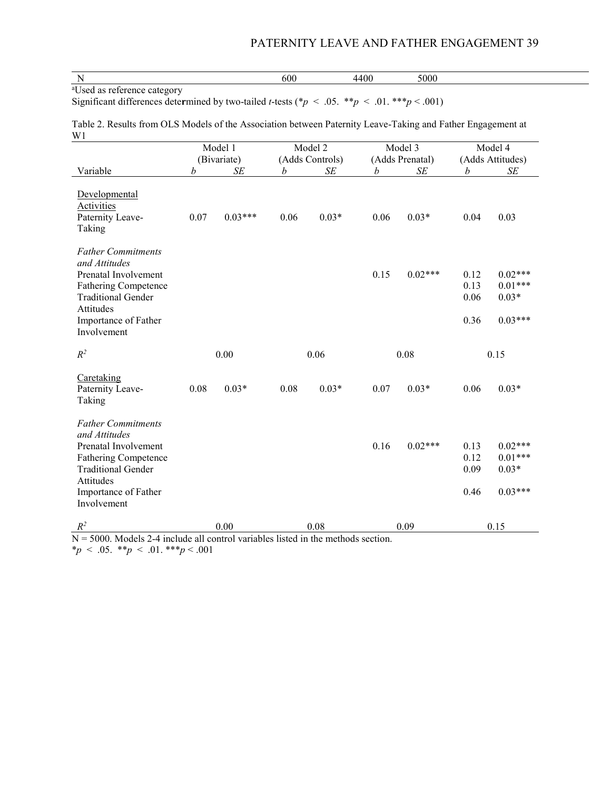| $\sim$<br>600<br>$\alpha$<br>" |  |  |  |
|--------------------------------|--|--|--|
|--------------------------------|--|--|--|

Significant differences determined by two-tailed *t*-tests (\* $p < .05$ . \*\* $p < .01$ . \*\* $p < .001$ )

Table 2. Results from OLS Models of the Association between Paternity Leave-Taking and Father Engagement at W1

|                                                                                                                                                                                    |      | Model 1                     | Model 2 |                   |              | Model 3         | Model 4                      |                                                |
|------------------------------------------------------------------------------------------------------------------------------------------------------------------------------------|------|-----------------------------|---------|-------------------|--------------|-----------------|------------------------------|------------------------------------------------|
|                                                                                                                                                                                    |      | (Bivariate)                 |         | (Adds Controls)   |              | (Adds Prenatal) |                              | (Adds Attitudes)                               |
| Variable                                                                                                                                                                           | b    | SE                          | b       | SE                | b            | SE              | b                            | SE                                             |
| Developmental<br><b>Activities</b><br>Paternity Leave-<br>Taking                                                                                                                   | 0.07 | $0.03***$                   | 0.06    | $0.03*$           | 0.06         | $0.03*$         | 0.04                         | 0.03                                           |
| <b>Father Commitments</b><br>and Attitudes<br>Prenatal Involvement<br><b>Fathering Competence</b><br><b>Traditional Gender</b><br>Attitudes<br>Importance of Father<br>Involvement |      |                             |         |                   | 0.15         | $0.02***$       | 0.12<br>0.13<br>0.06<br>0.36 | $0.02***$<br>$0.01***$<br>$0.03*$<br>$0.03***$ |
| $R^2$                                                                                                                                                                              | 0.00 |                             | 0.06    |                   | 0.08         |                 | 0.15                         |                                                |
| Caretaking<br>Paternity Leave-<br>Taking                                                                                                                                           | 0.08 | $0.03*$                     | 0.08    | $0.03*$           | 0.07         | $0.03*$         | 0.06                         | $0.03*$                                        |
| <b>Father Commitments</b><br>and Attitudes<br>Prenatal Involvement<br><b>Fathering Competence</b><br><b>Traditional Gender</b><br>Attitudes<br>Importance of Father<br>Involvement |      |                             |         |                   | 0.16         | $0.02***$       | 0.13<br>0.12<br>0.09<br>0.46 | $0.02***$<br>$0.01***$<br>$0.03*$<br>$0.03***$ |
| $R^2$<br>7000 M1104'11<br>$\mathbf{r}$                                                                                                                                             | 11   | 0.00<br>1.1<br>$\mathbf{1}$ |         | 0.08<br>$(1 - 1)$ | $\mathbf{r}$ | 0.09            |                              | 0.15                                           |

 $N = 5000$ . Models 2-4 include all control variables listed in the methods section. \**p* < .05. \*\**p* < .01. \*\*\**p* < .001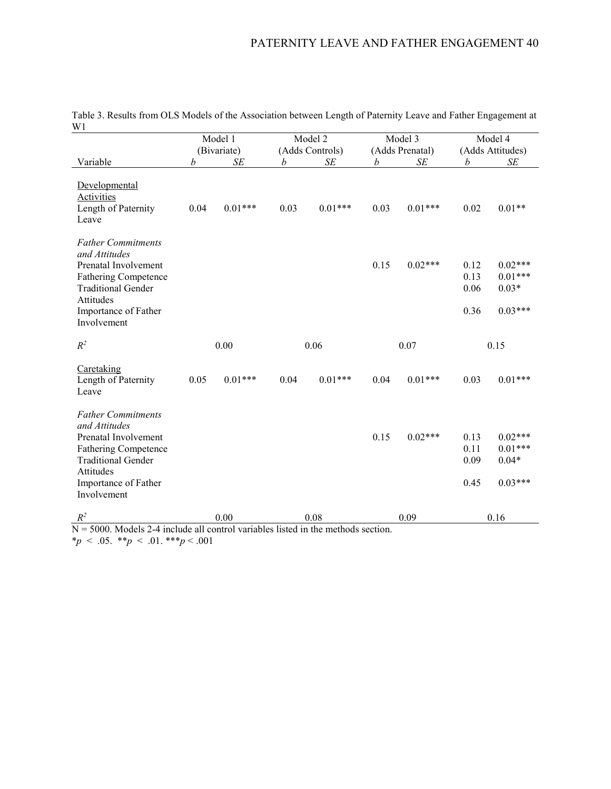| VV 1                                                                                                                                                                                      | Model 1 |             |      | Model 2         |      | Model 3         | Model 4                      |                                                |  |
|-------------------------------------------------------------------------------------------------------------------------------------------------------------------------------------------|---------|-------------|------|-----------------|------|-----------------|------------------------------|------------------------------------------------|--|
|                                                                                                                                                                                           |         | (Bivariate) |      | (Adds Controls) |      | (Adds Prenatal) |                              | (Adds Attitudes)                               |  |
| Variable                                                                                                                                                                                  | b       | SЕ          | h    | SE              | b    | SE              | b                            | SЕ                                             |  |
| Developmental<br><b>Activities</b><br>Length of Paternity<br>Leave                                                                                                                        | 0.04    | $0.01***$   | 0.03 | $0.01***$       | 0.03 | $0.01***$       | 0.02                         | $0.01**$                                       |  |
| <b>Father Commitments</b><br>and Attitudes<br>Prenatal Involvement<br><b>Fathering Competence</b><br><b>Traditional Gender</b><br><b>Attitudes</b><br>Importance of Father<br>Involvement |         |             |      |                 | 0.15 | $0.02***$       | 0.12<br>0.13<br>0.06<br>0.36 | $0.02***$<br>$0.01***$<br>$0.03*$<br>$0.03***$ |  |
| $R^2$                                                                                                                                                                                     | 0.00    |             | 0.06 |                 | 0.07 |                 | 0.15                         |                                                |  |
| Caretaking<br>Length of Paternity<br>Leave                                                                                                                                                | 0.05    | $0.01***$   | 0.04 | $0.01***$       | 0.04 | $0.01***$       | 0.03                         | $0.01***$                                      |  |
| <b>Father Commitments</b><br>and Attitudes<br>Prenatal Involvement<br><b>Fathering Competence</b><br><b>Traditional Gender</b><br>Attitudes<br>Importance of Father<br>Involvement        |         |             |      |                 | 0.15 | $0.02***$       | 0.13<br>0.11<br>0.09<br>0.45 | $0.02***$<br>$0.01***$<br>$0.04*$<br>$0.03***$ |  |
| $R^2$<br>$\overline{z}$                                                                                                                                                                   |         | 0.00        |      | 0.08            |      | 0.09            |                              | 0.16                                           |  |

Table 3. Results from OLS Models of the Association between Length of Paternity Leave and Father Engagement at W1

 $N = 5000$ . Models 2-4 include all control variables listed in the methods section.

\**p* < .05. \*\**p* < .01. \*\*\**p* < .001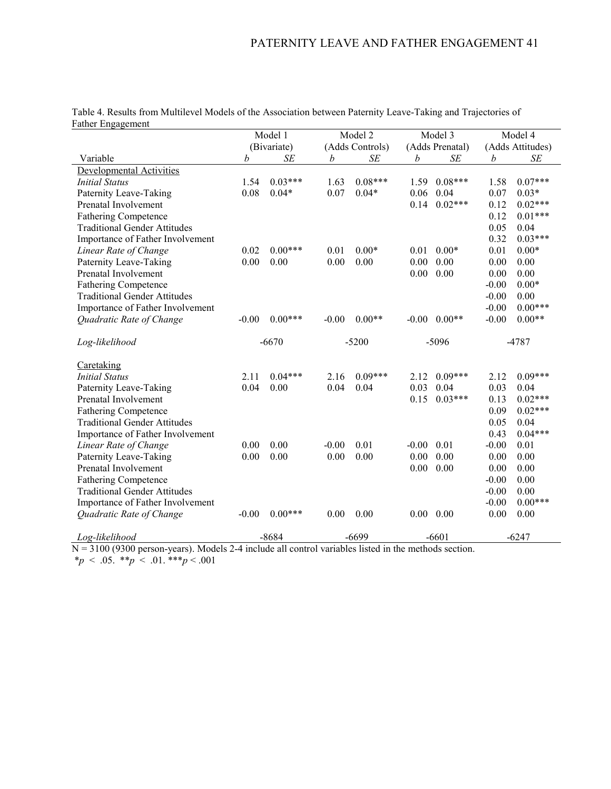| Father Engagement                   |         |             |         |                 |                 |           |                  |           |
|-------------------------------------|---------|-------------|---------|-----------------|-----------------|-----------|------------------|-----------|
|                                     | Model 1 |             |         | Model 2         |                 | Model 3   |                  | Model 4   |
|                                     |         | (Bivariate) |         | (Adds Controls) | (Adds Prenatal) |           | (Adds Attitudes) |           |
| Variable                            | b       | SЕ          | b       | SЕ              | b               | SE        | b                | SE        |
| Developmental Activities            |         |             |         |                 |                 |           |                  |           |
| <b>Initial Status</b>               | 1.54    | $0.03***$   | 1.63    | $0.08***$       | 1.59            | $0.08***$ | 1.58             | $0.07***$ |
| Paternity Leave-Taking              | 0.08    | $0.04*$     | 0.07    | $0.04*$         | 0.06            | 0.04      | 0.07             | $0.03*$   |
| Prenatal Involvement                |         |             |         |                 | 0.14            | $0.02***$ | 0.12             | $0.02***$ |
| <b>Fathering Competence</b>         |         |             |         |                 |                 |           | 0.12             | $0.01***$ |
| <b>Traditional Gender Attitudes</b> |         |             |         |                 |                 |           | 0.05             | 0.04      |
| Importance of Father Involvement    |         |             |         |                 |                 |           | 0.32             | $0.03***$ |
| Linear Rate of Change               | 0.02    | $0.00***$   | 0.01    | $0.00*$         | 0.01            | $0.00*$   | 0.01             | $0.00*$   |
| Paternity Leave-Taking              | 0.00    | 0.00        | 0.00    | 0.00            | 0.00            | 0.00      | 0.00             | 0.00      |
| Prenatal Involvement                |         |             |         |                 | 0.00            | 0.00      | 0.00             | 0.00      |
| <b>Fathering Competence</b>         |         |             |         |                 |                 |           | $-0.00$          | $0.00*$   |
| <b>Traditional Gender Attitudes</b> |         |             |         |                 |                 |           | $-0.00$          | 0.00      |
| Importance of Father Involvement    |         |             |         |                 |                 |           | $-0.00$          | $0.00***$ |
| Quadratic Rate of Change            | $-0.00$ | $0.00***$   | $-0.00$ | $0.00**$        | $-0.00$         | $0.00**$  | $-0.00$          | $0.00**$  |
|                                     |         |             |         |                 |                 |           |                  |           |
| Log-likelihood                      |         | $-6670$     |         | $-5200$         |                 | $-5096$   |                  | $-4787$   |
|                                     |         |             |         |                 |                 |           |                  |           |
| Caretaking                          |         |             |         |                 |                 |           |                  |           |
| <b>Initial Status</b>               | 2.11    | $0.04***$   | 2.16    | $0.09***$       | 2.12            | $0.09***$ | 2.12             | $0.09***$ |
| Paternity Leave-Taking              | 0.04    | 0.00        | 0.04    | 0.04            | 0.03            | 0.04      | 0.03             | 0.04      |
| Prenatal Involvement                |         |             |         |                 | 0.15            | $0.03***$ | 0.13             | $0.02***$ |
| <b>Fathering Competence</b>         |         |             |         |                 |                 |           | 0.09             | $0.02***$ |
| <b>Traditional Gender Attitudes</b> |         |             |         |                 |                 |           | 0.05             | 0.04      |
| Importance of Father Involvement    |         |             |         |                 |                 |           | 0.43             | $0.04***$ |
| Linear Rate of Change               | 0.00    | 0.00        | $-0.00$ | 0.01            | $-0.00$         | 0.01      | $-0.00$          | 0.01      |
| Paternity Leave-Taking              | 0.00    | 0.00        | 0.00    | 0.00            | 0.00            | 0.00      | 0.00             | 0.00      |
| Prenatal Involvement                |         |             |         |                 | 0.00            | 0.00      | 0.00             | 0.00      |
| <b>Fathering Competence</b>         |         |             |         |                 |                 |           | $-0.00$          | 0.00      |
| <b>Traditional Gender Attitudes</b> |         |             |         |                 |                 |           | $-0.00$          | 0.00      |
| Importance of Father Involvement    |         |             |         |                 |                 |           | $-0.00$          | $0.00***$ |
| Quadratic Rate of Change            | $-0.00$ | $0.00***$   | 0.00    | 0.00            | $0.00\,$        | 0.00      | 0.00             | 0.00      |
|                                     |         |             |         |                 |                 |           |                  |           |
| Log-likelihood                      |         |             |         |                 |                 |           |                  |           |
|                                     |         | $-8684$     |         | $-6699$         |                 | $-6601$   |                  | $-6247$   |

Table 4. Results from Multilevel Models of the Association between Paternity Leave-Taking and Trajectories of  $F_{\alpha}$ ther  $F_{\alpha}$ 

N = 3100 (9300 person-years). Models 2-4 include all control variables listed in the methods section.

\**p* < .05. \*\**p* < .01. \*\*\**p* < .001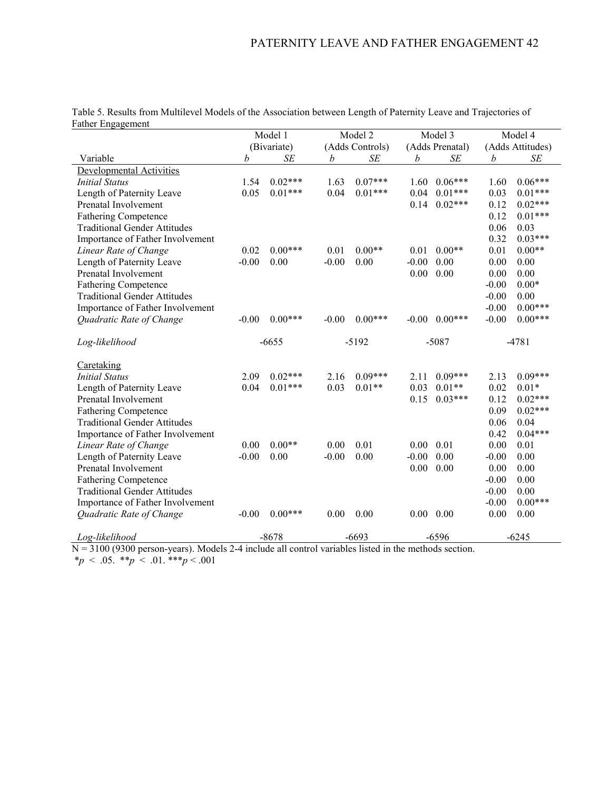| Father Engagement                                            |         |             |         |                    |                 |           |                  |           |
|--------------------------------------------------------------|---------|-------------|---------|--------------------|-----------------|-----------|------------------|-----------|
|                                                              | Model 1 |             | Model 2 |                    | Model 3         |           |                  | Model 4   |
|                                                              |         | (Bivariate) |         | (Adds Controls)    | (Adds Prenatal) |           | (Adds Attitudes) |           |
| Variable                                                     | b       | SЕ          | b       | SE                 | b               | SE        | b                | SE        |
| Developmental Activities                                     |         |             |         |                    |                 |           |                  |           |
| <b>Initial Status</b>                                        | 1.54    | $0.02***$   | 1.63    | $0.07***$          | 1.60            | $0.06***$ | 1.60             | $0.06***$ |
| Length of Paternity Leave                                    | 0.05    | $0.01***$   | 0.04    | $0.01***$          | 0.04            | $0.01***$ | 0.03             | $0.01***$ |
| Prenatal Involvement                                         |         |             |         |                    | 0.14            | $0.02***$ | 0.12             | $0.02***$ |
| <b>Fathering Competence</b>                                  |         |             |         |                    |                 |           | 0.12             | $0.01***$ |
| <b>Traditional Gender Attitudes</b>                          |         |             |         |                    |                 |           | 0.06             | 0.03      |
| Importance of Father Involvement                             |         |             |         |                    |                 |           | 0.32             | $0.03***$ |
| Linear Rate of Change                                        | 0.02    | $0.00***$   | 0.01    | $0.00**$           | 0.01            | $0.00**$  | 0.01             | $0.00**$  |
| Length of Paternity Leave                                    | $-0.00$ | 0.00        | $-0.00$ | 0.00               | $-0.00$         | 0.00      | 0.00             | 0.00      |
| Prenatal Involvement                                         |         |             |         |                    | 0.00            | 0.00      | 0.00             | 0.00      |
| <b>Fathering Competence</b>                                  |         |             |         |                    |                 |           | $-0.00$          | $0.00*$   |
| <b>Traditional Gender Attitudes</b>                          |         |             |         |                    |                 |           | $-0.00$          | 0.00      |
| Importance of Father Involvement                             |         |             |         |                    |                 |           | $-0.00$          | $0.00***$ |
| Quadratic Rate of Change                                     | $-0.00$ | $0.00***$   | $-0.00$ | $0.00***$          | $-0.00$         | $0.00***$ | $-0.00$          | $0.00***$ |
| Log-likelihood                                               |         | $-6655$     |         | $-5192$            |                 | $-5087$   |                  | $-4781$   |
|                                                              |         |             |         |                    |                 |           |                  |           |
| Caretaking                                                   |         |             |         |                    |                 |           |                  |           |
| <b>Initial Status</b>                                        | 2.09    | $0.02***$   | 2.16    | $0.09***$          | 2.11            | $0.09***$ | 2.13             | $0.09***$ |
| Length of Paternity Leave                                    | 0.04    | $0.01***$   | 0.03    | $0.01**$           | 0.03            | $0.01**$  | 0.02             | $0.01*$   |
| Prenatal Involvement                                         |         |             |         |                    | 0.15            | $0.03***$ | 0.12             | $0.02***$ |
| <b>Fathering Competence</b>                                  |         |             |         |                    |                 |           | 0.09             | $0.02***$ |
| <b>Traditional Gender Attitudes</b>                          |         |             |         |                    |                 |           | 0.06             | 0.04      |
| Importance of Father Involvement                             |         |             |         |                    |                 |           | 0.42             | $0.04***$ |
| Linear Rate of Change                                        | 0.00    | $0.00**$    | 0.00    | 0.01               | $0.00\,$        | 0.01      | 0.00             | 0.01      |
| Length of Paternity Leave                                    | $-0.00$ | 0.00        | $-0.00$ | 0.00               | $-0.00$         | 0.00      | $-0.00$          | 0.00      |
| Prenatal Involvement                                         |         |             |         |                    | 0.00            | 0.00      | 0.00             | 0.00      |
| <b>Fathering Competence</b>                                  |         |             |         |                    |                 |           | $-0.00$          | 0.00      |
| <b>Traditional Gender Attitudes</b>                          |         |             |         |                    |                 |           | $-0.00$          | 0.00      |
| Importance of Father Involvement                             |         |             |         |                    |                 |           | $-0.00$          | $0.00***$ |
| Quadratic Rate of Change                                     | $-0.00$ | $0.00***$   | 0.00    | 0.00               | $0.00\,$        | 0.00      | 0.00             | 0.00      |
|                                                              |         |             |         |                    |                 |           |                  |           |
| Log-likelihood<br>100(0300<br>$\mathbf{X} \times \mathbf{X}$ |         | $-8678$     | .       | $-6693$<br>$\cdot$ |                 | $-6596$   |                  | $-6245$   |

Table 5. Results from Multilevel Models of the Association between Length of Paternity Leave and Trajectories of Father En

N = 3100 (9300 person-years). Models 2-4 include all control variables listed in the methods section.

\**p* < .05. \*\**p* < .01. \*\*\**p* < .001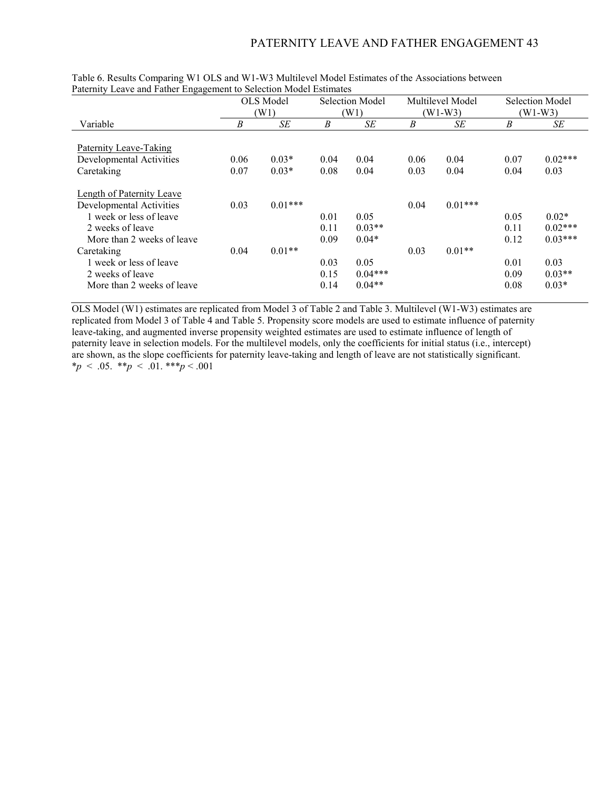|                               | OLS Model<br>(W1) |           | Selection Model<br>(W1) |           |      | Multilevel Model<br>$(W1-W3)$ |      | Selection Model |
|-------------------------------|-------------------|-----------|-------------------------|-----------|------|-------------------------------|------|-----------------|
|                               |                   |           |                         |           |      |                               |      | $(W1-W3)$       |
| Variable                      | B                 | SE        | B                       | SE        | B    | SE                            | B    | SE              |
|                               |                   |           |                         |           |      |                               |      |                 |
| <b>Paternity Leave-Taking</b> |                   |           |                         |           |      |                               |      |                 |
| Developmental Activities      | 0.06              | $0.03*$   | 0.04                    | 0.04      | 0.06 | 0.04                          | 0.07 | $0.02***$       |
| Caretaking                    | 0.07              | $0.03*$   | 0.08                    | 0.04      | 0.03 | 0.04                          | 0.04 | 0.03            |
|                               |                   |           |                         |           |      |                               |      |                 |
| Length of Paternity Leave     |                   |           |                         |           |      |                               |      |                 |
| Developmental Activities      | 0.03              | $0.01***$ |                         |           | 0.04 | $0.01***$                     |      |                 |
| 1 week or less of leave       |                   |           | 0.01                    | 0.05      |      |                               | 0.05 | $0.02*$         |
| 2 weeks of leave              |                   |           | 0.11                    | $0.03**$  |      |                               | 0.11 | $0.02***$       |
| More than 2 weeks of leave    |                   |           | 0.09                    | $0.04*$   |      |                               | 0.12 | $0.03***$       |
| Caretaking                    | 0.04              | $0.01**$  |                         |           | 0.03 | $0.01**$                      |      |                 |
| 1 week or less of leave       |                   |           | 0.03                    | 0.05      |      |                               | 0.01 | 0.03            |
| 2 weeks of leave              |                   |           | 0.15                    | $0.04***$ |      |                               | 0.09 | $0.03**$        |
|                               |                   |           |                         |           |      |                               |      |                 |
| More than 2 weeks of leave    |                   |           | 0.14                    | $0.04**$  |      |                               | 0.08 | $0.03*$         |

Table 6. Results Comparing W1 OLS and W1-W3 Multilevel Model Estimates of the Associations between Paternity Leave and Father Engagement to Selection Model Estimates

OLS Model (W1) estimates are replicated from Model 3 of Table 2 and Table 3. Multilevel (W1-W3) estimates are replicated from Model 3 of Table 4 and Table 5. Propensity score models are used to estimate influence of paternity leave-taking, and augmented inverse propensity weighted estimates are used to estimate influence of length of paternity leave in selection models. For the multilevel models, only the coefficients for initial status (i.e., intercept) are shown, as the slope coefficients for paternity leave-taking and length of leave are not statistically significant. \**p* < .05. \*\**p* < .01. \*\*\**p* < .001